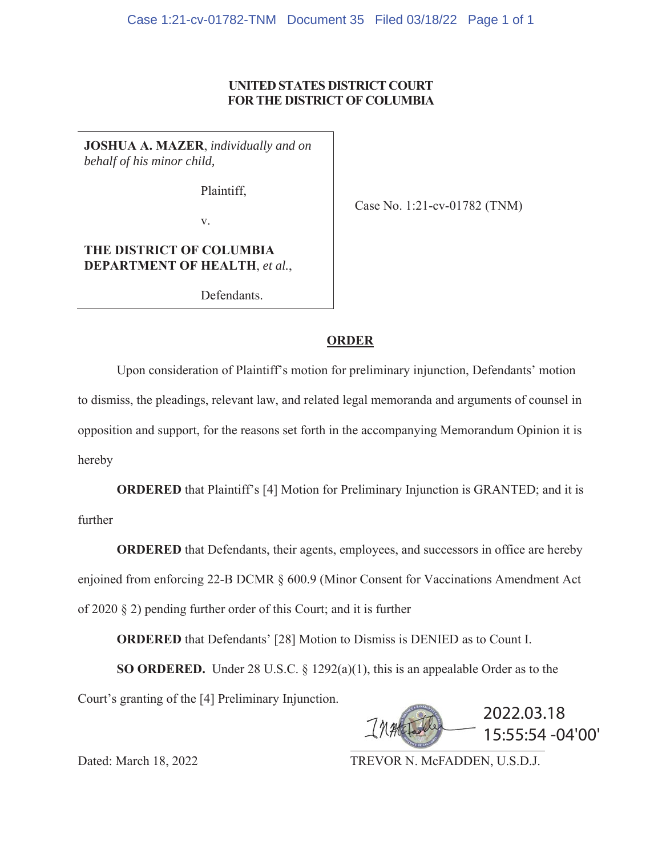# **UNITED STATES DISTRICT COURT FOR THE DISTRICT OF COLUMBIA**

**JOSHUA A. MAZER**, *individually and on behalf of his minor child,*

Plaintiff,

Case No. 1:21-cv-01782 (TNM)

v.

# **THE DISTRICT OF COLUMBIA DEPARTMENT OF HEALTH**, *et al.*,

Defendants.

# **ORDER**

Upon consideration of Plaintiff's motion for preliminary injunction, Defendants' motion to dismiss, the pleadings, relevant law, and related legal memoranda and arguments of counsel in opposition and support, for the reasons set forth in the accompanying Memorandum Opinion it is hereby

**ORDERED** that Plaintiff's [4] Motion for Preliminary Injunction is GRANTED; and it is further

**ORDERED** that Defendants, their agents, employees, and successors in office are hereby enjoined from enforcing 22-B DCMR § 600.9 (Minor Consent for Vaccinations Amendment Act of 2020 § 2) pending further order of this Court; and it is further

**ORDERED** that Defendants' [28] Motion to Dismiss is DENIED as to Count I.

**SO ORDERED.** Under 28 U.S.C. § 1292(a)(1), this is an appealable Order as to the Court's granting of the [4] Preliminary Injunction.



Dated: March 18, 2022 TREVOR N. McFADDEN, U.S.D.J.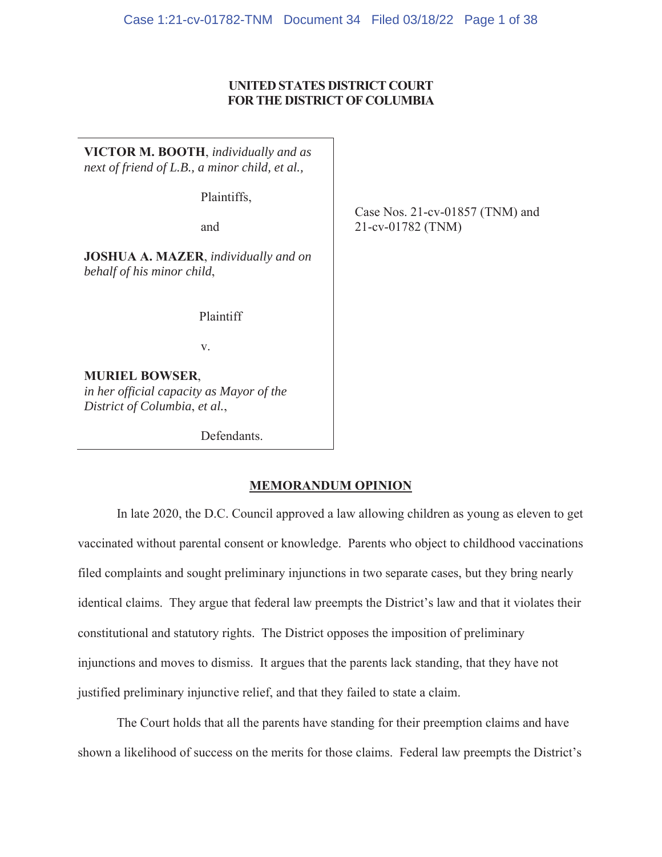# **UNITED STATES DISTRICT COURT FOR THE DISTRICT OF COLUMBIA**

**VICTOR M. BOOTH**, *individually and as next of friend of L.B., a minor child, et al.,*

Plaintiffs,

and

**JOSHUA A. MAZER**, *individually and on behalf of his minor child*,

Plaintiff

v.

**MURIEL BOWSER**, *in her official capacity as Mayor of the District of Columbia*, *et al.*,

Defendants.

Case Nos. 21-cv-01857 (TNM) and 21-cv-01782 (TNM)

# **MEMORANDUM OPINION**

In late 2020, the D.C. Council approved a law allowing children as young as eleven to get vaccinated without parental consent or knowledge. Parents who object to childhood vaccinations filed complaints and sought preliminary injunctions in two separate cases, but they bring nearly identical claims. They argue that federal law preempts the District's law and that it violates their constitutional and statutory rights. The District opposes the imposition of preliminary injunctions and moves to dismiss. It argues that the parents lack standing, that they have not justified preliminary injunctive relief, and that they failed to state a claim.

The Court holds that all the parents have standing for their preemption claims and have shown a likelihood of success on the merits for those claims. Federal law preempts the District's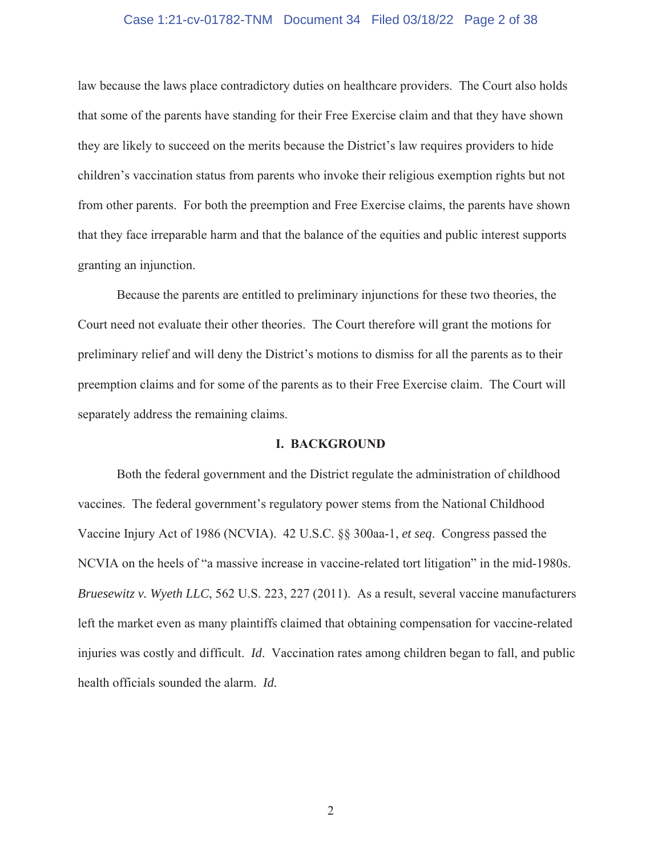## Case 1:21-cv-01782-TNM Document 34 Filed 03/18/22 Page 2 of 38

law because the laws place contradictory duties on healthcare providers. The Court also holds that some of the parents have standing for their Free Exercise claim and that they have shown they are likely to succeed on the merits because the District's law requires providers to hide children's vaccination status from parents who invoke their religious exemption rights but not from other parents. For both the preemption and Free Exercise claims, the parents have shown that they face irreparable harm and that the balance of the equities and public interest supports granting an injunction.

Because the parents are entitled to preliminary injunctions for these two theories, the Court need not evaluate their other theories. The Court therefore will grant the motions for preliminary relief and will deny the District's motions to dismiss for all the parents as to their preemption claims and for some of the parents as to their Free Exercise claim. The Court will separately address the remaining claims.

# **I. BACKGROUND**

Both the federal government and the District regulate the administration of childhood vaccines. The federal government's regulatory power stems from the National Childhood Vaccine Injury Act of 1986 (NCVIA). 42 U.S.C. §§ 300aa-1, *et seq*. Congress passed the NCVIA on the heels of "a massive increase in vaccine-related tort litigation" in the mid-1980s. *Bruesewitz v. Wyeth LLC*, 562 U.S. 223, 227 (2011). As a result, several vaccine manufacturers left the market even as many plaintiffs claimed that obtaining compensation for vaccine-related injuries was costly and difficult. *Id*. Vaccination rates among children began to fall, and public health officials sounded the alarm. *Id.*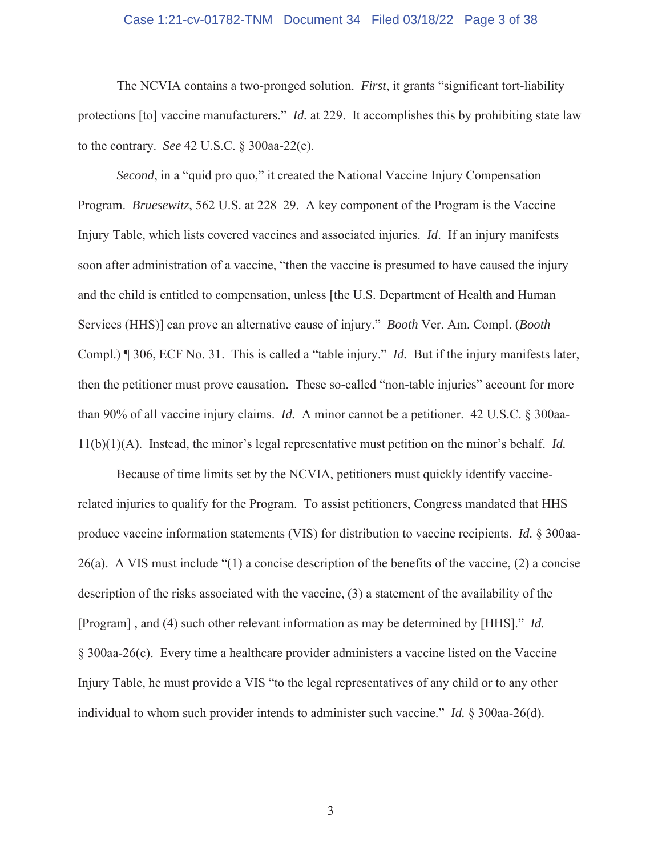#### Case 1:21-cv-01782-TNM Document 34 Filed 03/18/22 Page 3 of 38

The NCVIA contains a two-pronged solution. *First*, it grants "significant tort-liability protections [to] vaccine manufacturers." *Id.* at 229. It accomplishes this by prohibiting state law to the contrary. *See* 42 U.S.C. § 300aa-22(e).

*Second*, in a "quid pro quo," it created the National Vaccine Injury Compensation Program. *Bruesewitz*, 562 U.S. at 228–29. A key component of the Program is the Vaccine Injury Table, which lists covered vaccines and associated injuries. *Id*. If an injury manifests soon after administration of a vaccine, "then the vaccine is presumed to have caused the injury and the child is entitled to compensation, unless [the U.S. Department of Health and Human Services (HHS)] can prove an alternative cause of injury." *Booth* Ver. Am. Compl. (*Booth* Compl.) ¶ 306, ECF No. 31. This is called a "table injury." *Id.* But if the injury manifests later, then the petitioner must prove causation. These so-called "non-table injuries" account for more than 90% of all vaccine injury claims. *Id.* A minor cannot be a petitioner. 42 U.S.C. § 300aa-11(b)(1)(A). Instead, the minor's legal representative must petition on the minor's behalf. *Id.*

Because of time limits set by the NCVIA, petitioners must quickly identify vaccinerelated injuries to qualify for the Program. To assist petitioners, Congress mandated that HHS produce vaccine information statements (VIS) for distribution to vaccine recipients. *Id.* § 300aa-26(a). A VIS must include "(1) a concise description of the benefits of the vaccine, (2) a concise description of the risks associated with the vaccine, (3) a statement of the availability of the [Program] , and (4) such other relevant information as may be determined by [HHS]." *Id.*  § 300aa-26(c). Every time a healthcare provider administers a vaccine listed on the Vaccine Injury Table, he must provide a VIS "to the legal representatives of any child or to any other individual to whom such provider intends to administer such vaccine." *Id.* § 300aa-26(d).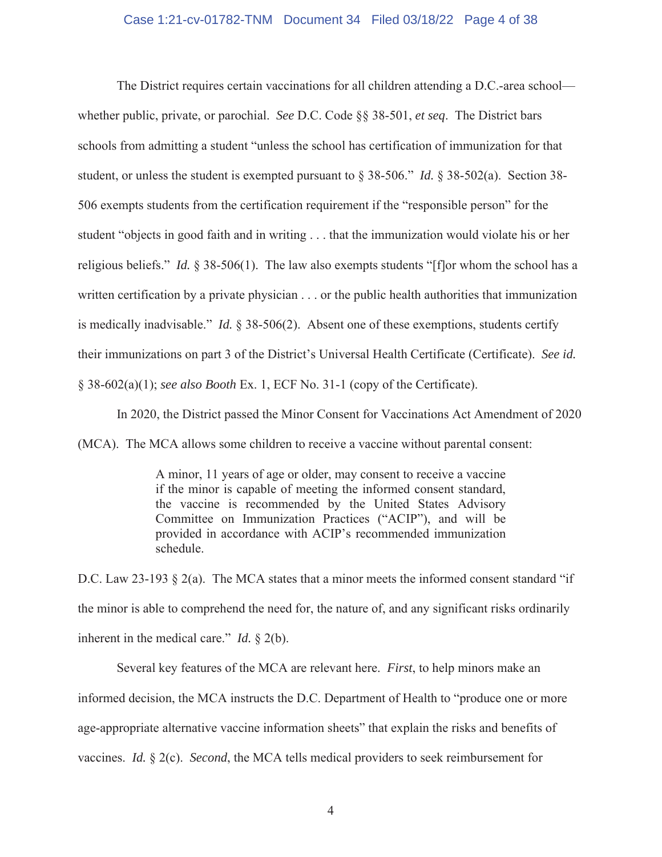# Case 1:21-cv-01782-TNM Document 34 Filed 03/18/22 Page 4 of 38

The District requires certain vaccinations for all children attending a D.C.-area school whether public, private, or parochial. *See* D.C. Code §§ 38-501, *et seq*. The District bars schools from admitting a student "unless the school has certification of immunization for that student, or unless the student is exempted pursuant to § 38-506." *Id.* § 38-502(a). Section 38- 506 exempts students from the certification requirement if the "responsible person" for the student "objects in good faith and in writing . . . that the immunization would violate his or her religious beliefs." *Id.* § 38-506(1). The law also exempts students "[f]or whom the school has a written certification by a private physician . . . or the public health authorities that immunization is medically inadvisable." *Id.* § 38-506(2). Absent one of these exemptions, students certify their immunizations on part 3 of the District's Universal Health Certificate (Certificate). *See id.*  § 38-602(a)(1); *see also Booth* Ex. 1, ECF No. 31-1 (copy of the Certificate).

In 2020, the District passed the Minor Consent for Vaccinations Act Amendment of 2020

(MCA). The MCA allows some children to receive a vaccine without parental consent:

A minor, 11 years of age or older, may consent to receive a vaccine if the minor is capable of meeting the informed consent standard, the vaccine is recommended by the United States Advisory Committee on Immunization Practices ("ACIP"), and will be provided in accordance with ACIP's recommended immunization schedule.

D.C. Law 23-193  $\S$  2(a). The MCA states that a minor meets the informed consent standard "if the minor is able to comprehend the need for, the nature of, and any significant risks ordinarily inherent in the medical care." *Id.* § 2(b).

Several key features of the MCA are relevant here. *First*, to help minors make an informed decision, the MCA instructs the D.C. Department of Health to "produce one or more age-appropriate alternative vaccine information sheets" that explain the risks and benefits of vaccines. *Id.* § 2(c). *Second*, the MCA tells medical providers to seek reimbursement for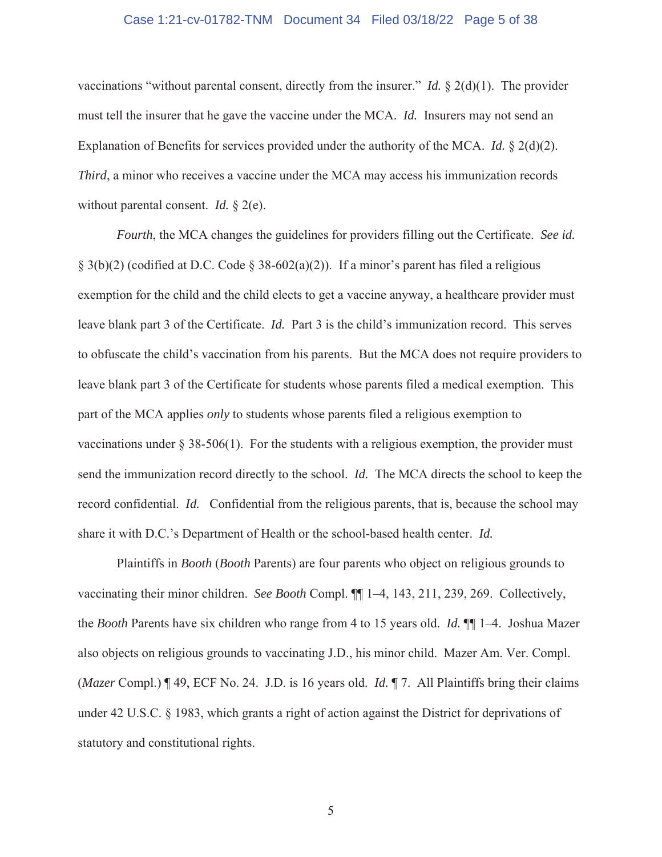## Case 1:21-cv-01782-TNM Document 34 Filed 03/18/22 Page 5 of 38

vaccinations "without parental consent, directly from the insurer." *Id.* § 2(d)(1).The provider must tell the insurer that he gave the vaccine under the MCA. *Id.* Insurers may not send an Explanation of Benefits for services provided under the authority of the MCA. *Id.* § 2(d)(2). *Third*, a minor who receives a vaccine under the MCA may access his immunization records without parental consent. *Id.* § 2(e).

*Fourth*, the MCA changes the guidelines for providers filling out the Certificate. *See id.*  § 3(b)(2) (codified at D.C. Code § 38-602(a)(2)). If a minor's parent has filed a religious exemption for the child and the child elects to get a vaccine anyway, a healthcare provider must leave blank part 3 of the Certificate. *Id.* Part 3 is the child's immunization record. This serves to obfuscate the child's vaccination from his parents. But the MCA does not require providers to leave blank part 3 of the Certificate for students whose parents filed a medical exemption. This part of the MCA applies *only* to students whose parents filed a religious exemption to vaccinations under  $\S 38-506(1)$ . For the students with a religious exemption, the provider must send the immunization record directly to the school. *Id.* The MCA directs the school to keep the record confidential. *Id.* Confidential from the religious parents, that is, because the school may share it with D.C.'s Department of Health or the school-based health center. *Id.* 

Plaintiffs in *Booth* (*Booth* Parents) are four parents who object on religious grounds to vaccinating their minor children. *See Booth* Compl. ¶¶ 1–4, 143, 211, 239, 269. Collectively, the *Booth* Parents have six children who range from 4 to 15 years old. *Id.* ¶¶ 1–4. Joshua Mazer also objects on religious grounds to vaccinating J.D., his minor child. Mazer Am. Ver. Compl. (*Mazer* Compl.) ¶ 49, ECF No. 24. J.D. is 16 years old. *Id.* ¶ 7. All Plaintiffs bring their claims under 42 U.S.C. § 1983, which grants a right of action against the District for deprivations of statutory and constitutional rights.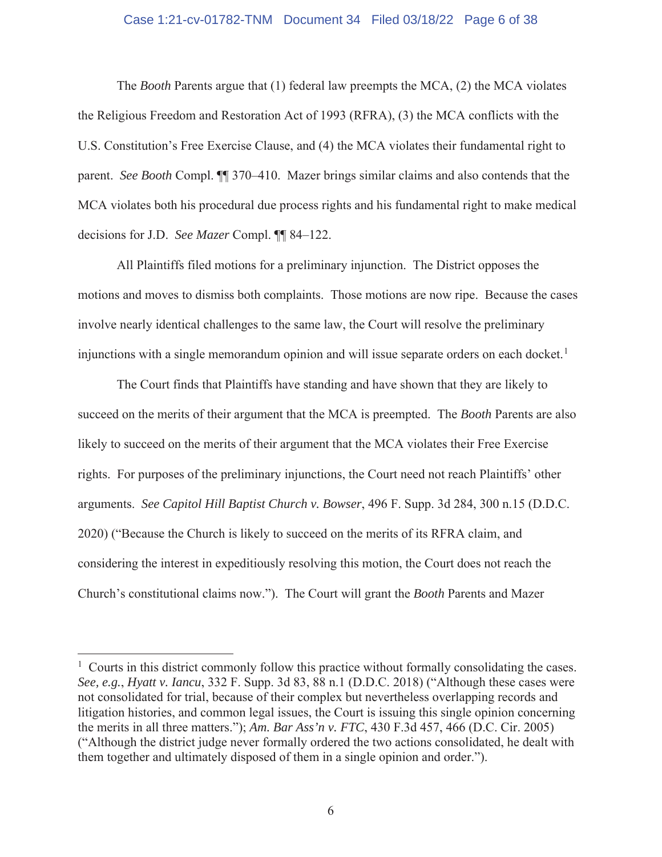# Case 1:21-cv-01782-TNM Document 34 Filed 03/18/22 Page 6 of 38

The *Booth* Parents argue that (1) federal law preempts the MCA, (2) the MCA violates the Religious Freedom and Restoration Act of 1993 (RFRA), (3) the MCA conflicts with the U.S. Constitution's Free Exercise Clause, and (4) the MCA violates their fundamental right to parent. *See Booth* Compl. ¶¶ 370–410. Mazer brings similar claims and also contends that the MCA violates both his procedural due process rights and his fundamental right to make medical decisions for J.D. *See Mazer* Compl. ¶¶ 84–122.

All Plaintiffs filed motions for a preliminary injunction. The District opposes the motions and moves to dismiss both complaints. Those motions are now ripe. Because the cases involve nearly identical challenges to the same law, the Court will resolve the preliminary injunctions with a single memorandum opinion and will issue separate orders on each docket.<sup>1</sup>

The Court finds that Plaintiffs have standing and have shown that they are likely to succeed on the merits of their argument that the MCA is preempted. The *Booth* Parents are also likely to succeed on the merits of their argument that the MCA violates their Free Exercise rights. For purposes of the preliminary injunctions, the Court need not reach Plaintiffs' other arguments. *See Capitol Hill Baptist Church v. Bowser*, 496 F. Supp. 3d 284, 300 n.15 (D.D.C. 2020) ("Because the Church is likely to succeed on the merits of its RFRA claim, and considering the interest in expeditiously resolving this motion, the Court does not reach the Church's constitutional claims now."). The Court will grant the *Booth* Parents and Mazer

<sup>&</sup>lt;sup>1</sup> Courts in this district commonly follow this practice without formally consolidating the cases. *See, e.g.*, *Hyatt v. Iancu*, 332 F. Supp. 3d 83, 88 n.1 (D.D.C. 2018) ("Although these cases were not consolidated for trial, because of their complex but nevertheless overlapping records and litigation histories, and common legal issues, the Court is issuing this single opinion concerning the merits in all three matters."); *Am. Bar Ass'n v. FTC*, 430 F.3d 457, 466 (D.C. Cir. 2005) ("Although the district judge never formally ordered the two actions consolidated, he dealt with them together and ultimately disposed of them in a single opinion and order.").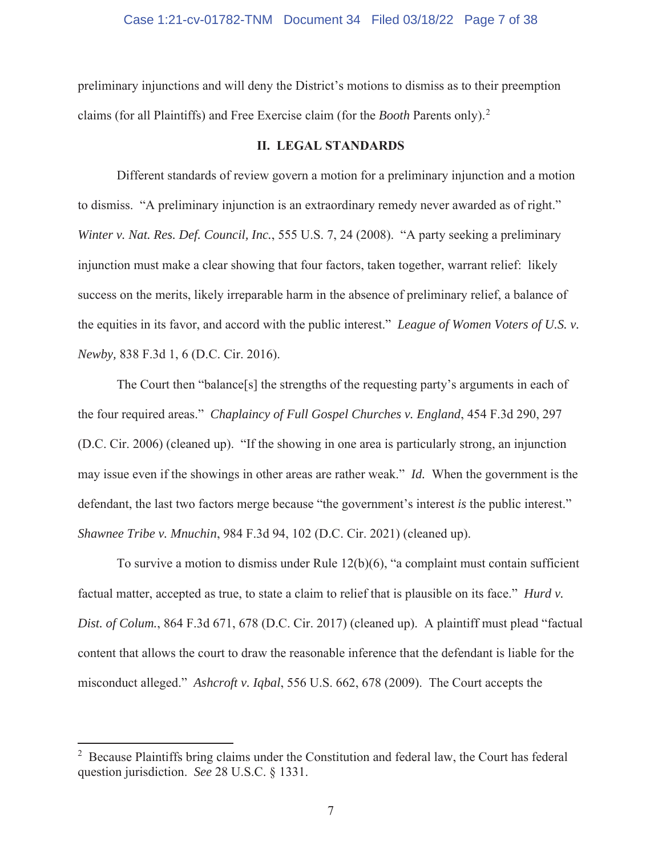# Case 1:21-cv-01782-TNM Document 34 Filed 03/18/22 Page 7 of 38

preliminary injunctions and will deny the District's motions to dismiss as to their preemption claims (for all Plaintiffs) and Free Exercise claim (for the *Booth* Parents only).<sup>2</sup>

# **II. LEGAL STANDARDS**

Different standards of review govern a motion for a preliminary injunction and a motion to dismiss. "A preliminary injunction is an extraordinary remedy never awarded as of right." *Winter v. Nat. Res. Def. Council, Inc.*, 555 U.S. 7, 24 (2008). "A party seeking a preliminary injunction must make a clear showing that four factors, taken together, warrant relief: likely success on the merits, likely irreparable harm in the absence of preliminary relief, a balance of the equities in its favor, and accord with the public interest." *League of Women Voters of U.S. v. Newby,* 838 F.3d 1, 6 (D.C. Cir. 2016).

The Court then "balance[s] the strengths of the requesting party's arguments in each of the four required areas." *Chaplaincy of Full Gospel Churches v. England*, 454 F.3d 290, 297 (D.C. Cir. 2006) (cleaned up). "If the showing in one area is particularly strong, an injunction may issue even if the showings in other areas are rather weak." *Id.* When the government is the defendant, the last two factors merge because "the government's interest *is* the public interest." *Shawnee Tribe v. Mnuchin*, 984 F.3d 94, 102 (D.C. Cir. 2021) (cleaned up).

To survive a motion to dismiss under Rule 12(b)(6), "a complaint must contain sufficient factual matter, accepted as true, to state a claim to relief that is plausible on its face." *Hurd v. Dist. of Colum.*, 864 F.3d 671, 678 (D.C. Cir. 2017) (cleaned up). A plaintiff must plead "factual content that allows the court to draw the reasonable inference that the defendant is liable for the misconduct alleged." *Ashcroft v. Iqbal*, 556 U.S. 662, 678 (2009). The Court accepts the

<sup>&</sup>lt;sup>2</sup> Because Plaintiffs bring claims under the Constitution and federal law, the Court has federal question jurisdiction. *See* 28 U.S.C. § 1331.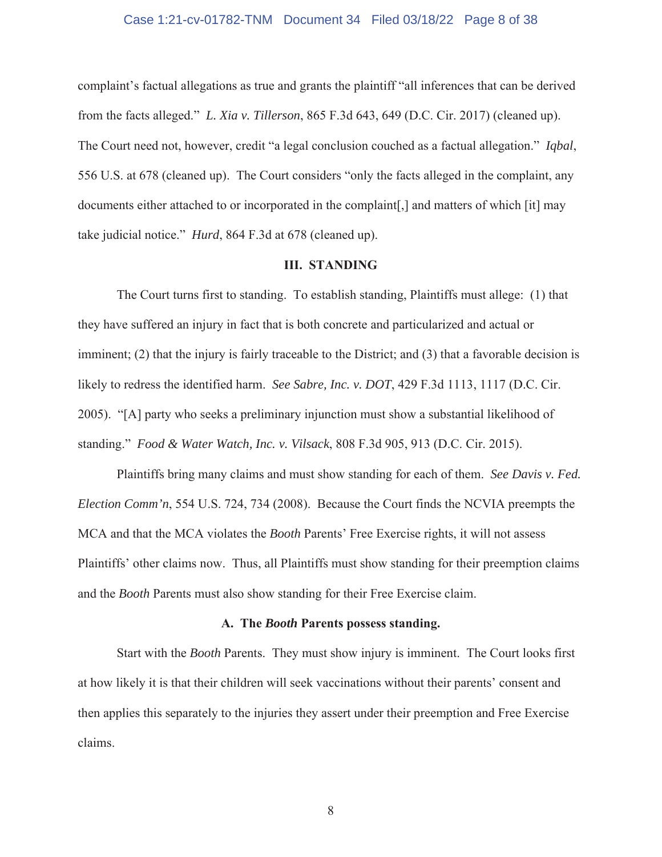#### Case 1:21-cv-01782-TNM Document 34 Filed 03/18/22 Page 8 of 38

complaint's factual allegations as true and grants the plaintiff "all inferences that can be derived from the facts alleged." *L. Xia v. Tillerson*, 865 F.3d 643, 649 (D.C. Cir. 2017) (cleaned up). The Court need not, however, credit "a legal conclusion couched as a factual allegation." *Iqbal*, 556 U.S. at 678 (cleaned up). The Court considers "only the facts alleged in the complaint, any documents either attached to or incorporated in the complaint[,] and matters of which [it] may take judicial notice." *Hurd*, 864 F.3d at 678 (cleaned up).

# **III. STANDING**

The Court turns first to standing. To establish standing, Plaintiffs must allege: (1) that they have suffered an injury in fact that is both concrete and particularized and actual or imminent; (2) that the injury is fairly traceable to the District; and (3) that a favorable decision is likely to redress the identified harm. *See Sabre, Inc. v. DOT*, 429 F.3d 1113, 1117 (D.C. Cir. 2005). "[A] party who seeks a preliminary injunction must show a substantial likelihood of standing." *Food & Water Watch, Inc. v. Vilsack*, 808 F.3d 905, 913 (D.C. Cir. 2015).

Plaintiffs bring many claims and must show standing for each of them. *See Davis v. Fed. Election Comm'n*, 554 U.S. 724, 734 (2008). Because the Court finds the NCVIA preempts the MCA and that the MCA violates the *Booth* Parents' Free Exercise rights, it will not assess Plaintiffs' other claims now. Thus, all Plaintiffs must show standing for their preemption claims and the *Booth* Parents must also show standing for their Free Exercise claim.

#### **A. The** *Booth* **Parents possess standing.**

Start with the *Booth* Parents. They must show injury is imminent. The Court looks first at how likely it is that their children will seek vaccinations without their parents' consent and then applies this separately to the injuries they assert under their preemption and Free Exercise claims.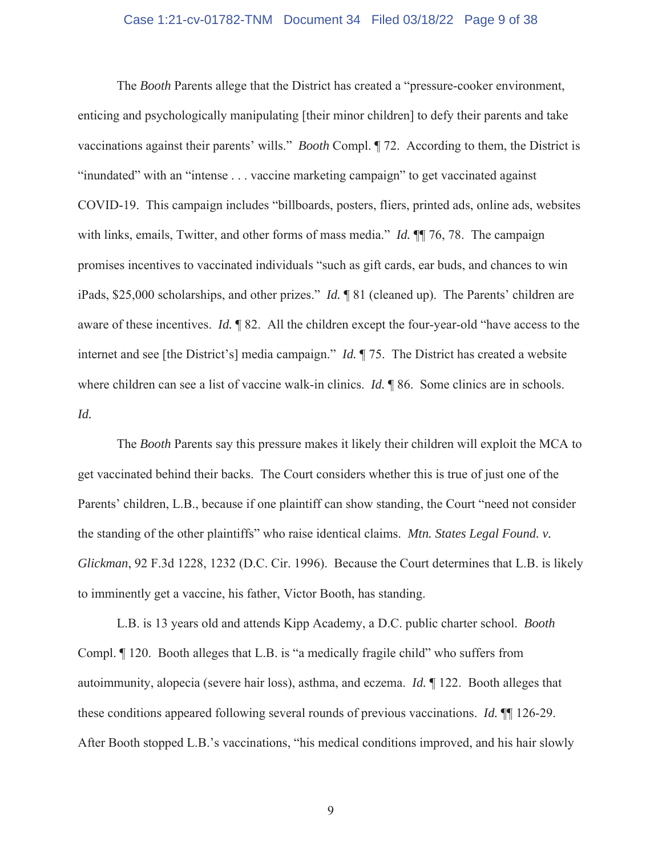## Case 1:21-cv-01782-TNM Document 34 Filed 03/18/22 Page 9 of 38

The *Booth* Parents allege that the District has created a "pressure-cooker environment, enticing and psychologically manipulating [their minor children] to defy their parents and take vaccinations against their parents' wills." *Booth* Compl. ¶ 72. According to them, the District is "inundated" with an "intense . . . vaccine marketing campaign" to get vaccinated against COVID-19. This campaign includes "billboards, posters, fliers, printed ads, online ads, websites with links, emails, Twitter, and other forms of mass media." *Id.* **[1]** 76, 78. The campaign promises incentives to vaccinated individuals "such as gift cards, ear buds, and chances to win iPads, \$25,000 scholarships, and other prizes." *Id.* ¶ 81 (cleaned up). The Parents' children are aware of these incentives. *Id.* ¶ 82. All the children except the four-year-old "have access to the internet and see [the District's] media campaign." *Id.* ¶ 75. The District has created a website where children can see a list of vaccine walk-in clinics. *Id.* 186. Some clinics are in schools. *Id.* 

The *Booth* Parents say this pressure makes it likely their children will exploit the MCA to get vaccinated behind their backs. The Court considers whether this is true of just one of the Parents' children, L.B., because if one plaintiff can show standing, the Court "need not consider the standing of the other plaintiffs" who raise identical claims. *Mtn. States Legal Found. v. Glickman*, 92 F.3d 1228, 1232 (D.C. Cir. 1996). Because the Court determines that L.B. is likely to imminently get a vaccine, his father, Victor Booth, has standing.

L.B. is 13 years old and attends Kipp Academy, a D.C. public charter school. *Booth* Compl. ¶ 120. Booth alleges that L.B. is "a medically fragile child" who suffers from autoimmunity, alopecia (severe hair loss), asthma, and eczema. *Id.* ¶ 122. Booth alleges that these conditions appeared following several rounds of previous vaccinations. *Id.* ¶¶ 126-29. After Booth stopped L.B.'s vaccinations, "his medical conditions improved, and his hair slowly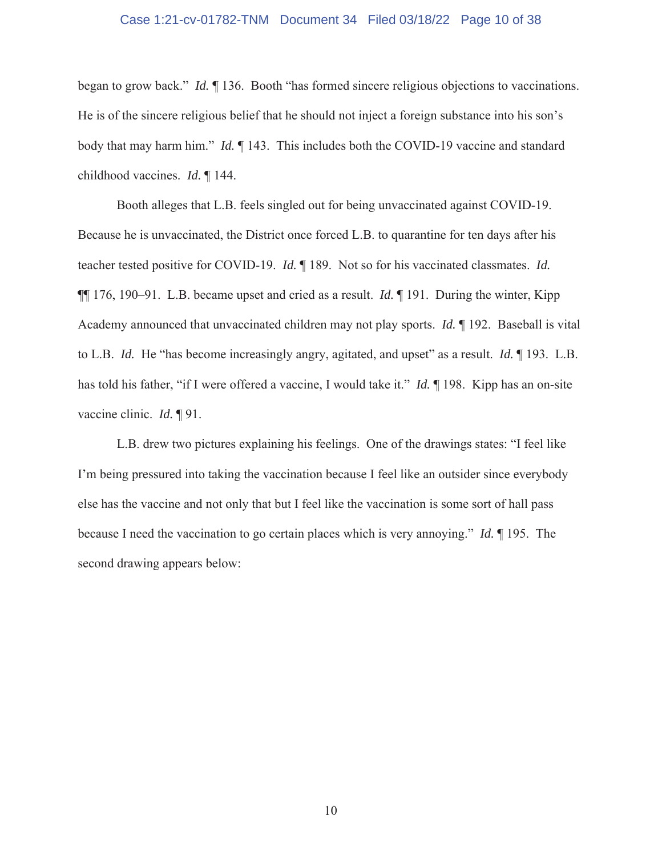## Case 1:21-cv-01782-TNM Document 34 Filed 03/18/22 Page 10 of 38

began to grow back." *Id.* ¶ 136. Booth "has formed sincere religious objections to vaccinations. He is of the sincere religious belief that he should not inject a foreign substance into his son's body that may harm him." *Id.* ¶ 143. This includes both the COVID-19 vaccine and standard childhood vaccines. *Id.* ¶ 144.

Booth alleges that L.B. feels singled out for being unvaccinated against COVID-19. Because he is unvaccinated, the District once forced L.B. to quarantine for ten days after his teacher tested positive for COVID-19. *Id.* ¶ 189. Not so for his vaccinated classmates. *Id.*  ¶¶ 176, 190–91. L.B. became upset and cried as a result. *Id.* ¶ 191.During the winter, Kipp Academy announced that unvaccinated children may not play sports. *Id.* ¶ 192. Baseball is vital to L.B. *Id.* He "has become increasingly angry, agitated, and upset" as a result. *Id.* ¶ 193. L.B. has told his father, "if I were offered a vaccine, I would take it." *Id.* ¶ 198. Kipp has an on-site vaccine clinic. *Id.* ¶ 91.

L.B. drew two pictures explaining his feelings. One of the drawings states: "I feel like I'm being pressured into taking the vaccination because I feel like an outsider since everybody else has the vaccine and not only that but I feel like the vaccination is some sort of hall pass because I need the vaccination to go certain places which is very annoying." *Id.* ¶ 195. The second drawing appears below: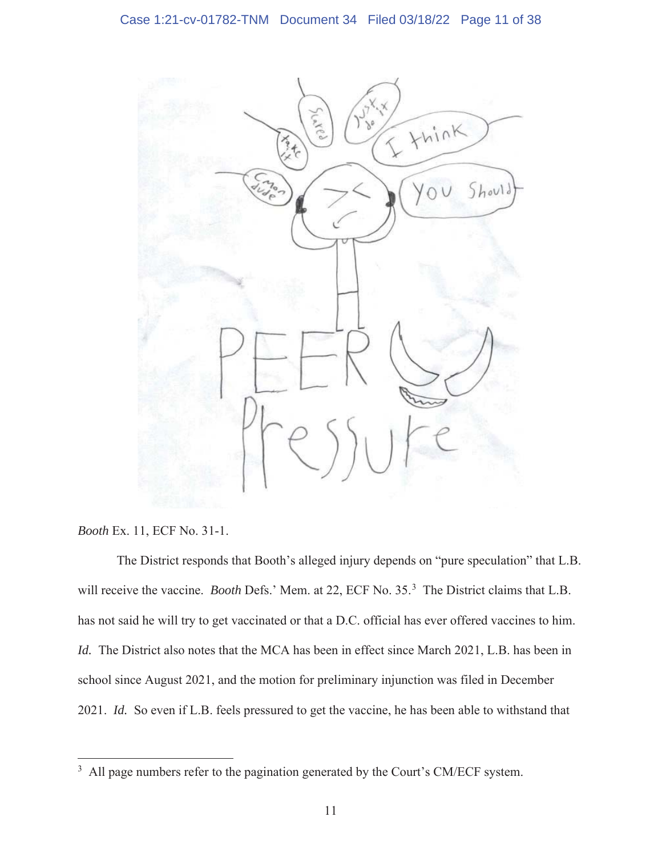

*Booth* Ex. 11, ECF No. 31-1.

The District responds that Booth's alleged injury depends on "pure speculation" that L.B. will receive the vaccine. *Booth* Defs.' Mem. at 22, ECF No. 35.<sup>3</sup> The District claims that L.B. has not said he will try to get vaccinated or that a D.C. official has ever offered vaccines to him. *Id.* The District also notes that the MCA has been in effect since March 2021, L.B. has been in school since August 2021, and the motion for preliminary injunction was filed in December 2021. *Id.* So even if L.B. feels pressured to get the vaccine, he has been able to withstand that

 $3$  All page numbers refer to the pagination generated by the Court's CM/ECF system.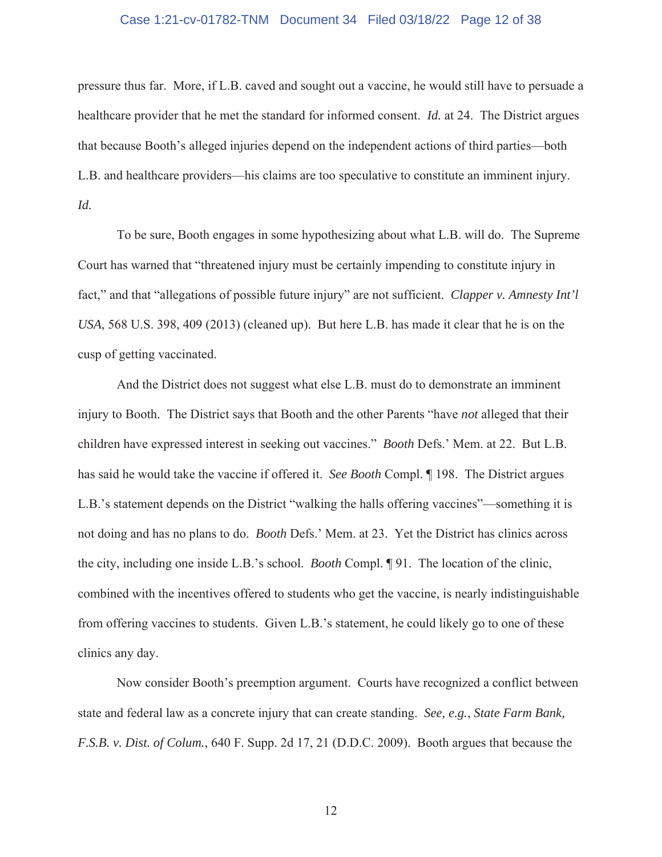# Case 1:21-cv-01782-TNM Document 34 Filed 03/18/22 Page 12 of 38

pressure thus far. More, if L.B. caved and sought out a vaccine, he would still have to persuade a healthcare provider that he met the standard for informed consent. *Id.* at 24. The District argues that because Booth's alleged injuries depend on the independent actions of third parties—both L.B. and healthcare providers—his claims are too speculative to constitute an imminent injury. *Id.* 

To be sure, Booth engages in some hypothesizing about what L.B. will do. The Supreme Court has warned that "threatened injury must be certainly impending to constitute injury in fact," and that "allegations of possible future injury" are not sufficient. *Clapper v. Amnesty Int'l USA*, 568 U.S. 398, 409 (2013) (cleaned up). But here L.B. has made it clear that he is on the cusp of getting vaccinated.

And the District does not suggest what else L.B. must do to demonstrate an imminent injury to Booth. The District says that Booth and the other Parents "have *not* alleged that their children have expressed interest in seeking out vaccines." *Booth* Defs.' Mem. at 22. But L.B. has said he would take the vaccine if offered it. *See Booth* Compl. ¶ 198. The District argues L.B.'s statement depends on the District "walking the halls offering vaccines"—something it is not doing and has no plans to do. *Booth* Defs.' Mem. at 23. Yet the District has clinics across the city, including one inside L.B.'s school. *Booth* Compl. ¶ 91. The location of the clinic, combined with the incentives offered to students who get the vaccine, is nearly indistinguishable from offering vaccines to students. Given L.B.'s statement, he could likely go to one of these clinics any day.

Now consider Booth's preemption argument. Courts have recognized a conflict between state and federal law as a concrete injury that can create standing. *See, e.g.*, *State Farm Bank, F.S.B. v. Dist. of Colum.*, 640 F. Supp. 2d 17, 21 (D.D.C. 2009).Booth argues that because the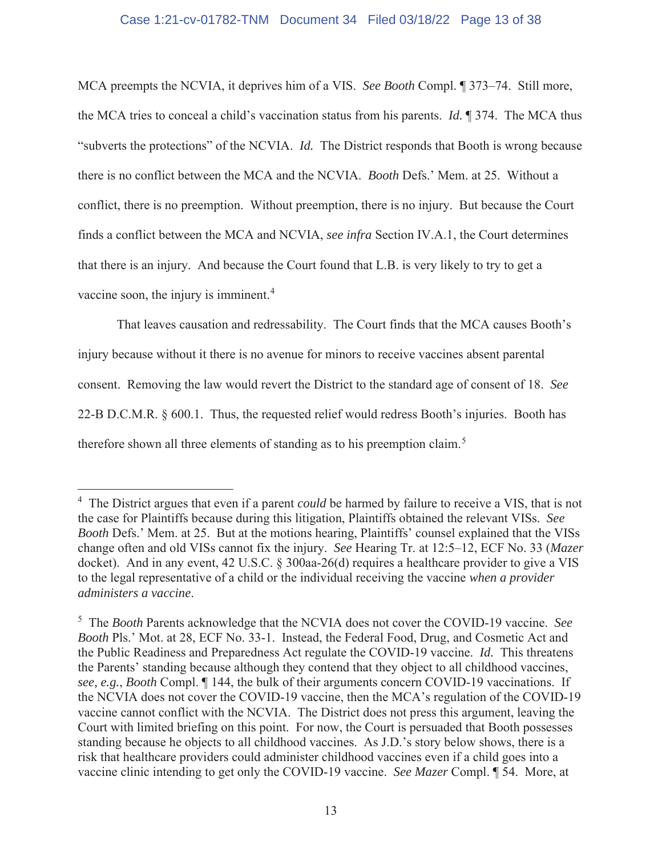# Case 1:21-cv-01782-TNM Document 34 Filed 03/18/22 Page 13 of 38

MCA preempts the NCVIA, it deprives him of a VIS. *See Booth* Compl. ¶ 373–74. Still more, the MCA tries to conceal a child's vaccination status from his parents. *Id.* ¶ 374. The MCA thus "subverts the protections" of the NCVIA. *Id.* The District responds that Booth is wrong because there is no conflict between the MCA and the NCVIA. *Booth* Defs.' Mem. at 25. Without a conflict, there is no preemption. Without preemption, there is no injury. But because the Court finds a conflict between the MCA and NCVIA, *see infra* Section IV.A.1, the Court determines that there is an injury. And because the Court found that L.B. is very likely to try to get a vaccine soon, the injury is imminent.<sup>4</sup>

That leaves causation and redressability. The Court finds that the MCA causes Booth's injury because without it there is no avenue for minors to receive vaccines absent parental consent. Removing the law would revert the District to the standard age of consent of 18. *See*  22-B D.C.M.R. § 600.1. Thus, the requested relief would redress Booth's injuries. Booth has therefore shown all three elements of standing as to his preemption claim.<sup>5</sup>

<sup>4</sup> The District argues that even if a parent *could* be harmed by failure to receive a VIS, that is not the case for Plaintiffs because during this litigation, Plaintiffs obtained the relevant VISs. *See Booth* Defs.' Mem. at 25. But at the motions hearing, Plaintiffs' counsel explained that the VISs change often and old VISs cannot fix the injury. *See* Hearing Tr. at 12:5–12, ECF No. 33 (*Mazer*  docket). And in any event, 42 U.S.C. § 300aa-26(d) requires a healthcare provider to give a VIS to the legal representative of a child or the individual receiving the vaccine *when a provider administers a vaccine*.

<sup>5</sup> The *Booth* Parents acknowledge that the NCVIA does not cover the COVID-19 vaccine. *See Booth* Pls.' Mot. at 28, ECF No. 33-1. Instead, the Federal Food, Drug, and Cosmetic Act and the Public Readiness and Preparedness Act regulate the COVID-19 vaccine. *Id.* This threatens the Parents' standing because although they contend that they object to all childhood vaccines, *see, e.g.*, *Booth* Compl. ¶ 144, the bulk of their arguments concern COVID-19 vaccinations. If the NCVIA does not cover the COVID-19 vaccine, then the MCA's regulation of the COVID-19 vaccine cannot conflict with the NCVIA. The District does not press this argument, leaving the Court with limited briefing on this point. For now, the Court is persuaded that Booth possesses standing because he objects to all childhood vaccines. As J.D.'s story below shows, there is a risk that healthcare providers could administer childhood vaccines even if a child goes into a vaccine clinic intending to get only the COVID-19 vaccine. *See Mazer* Compl. ¶ 54. More, at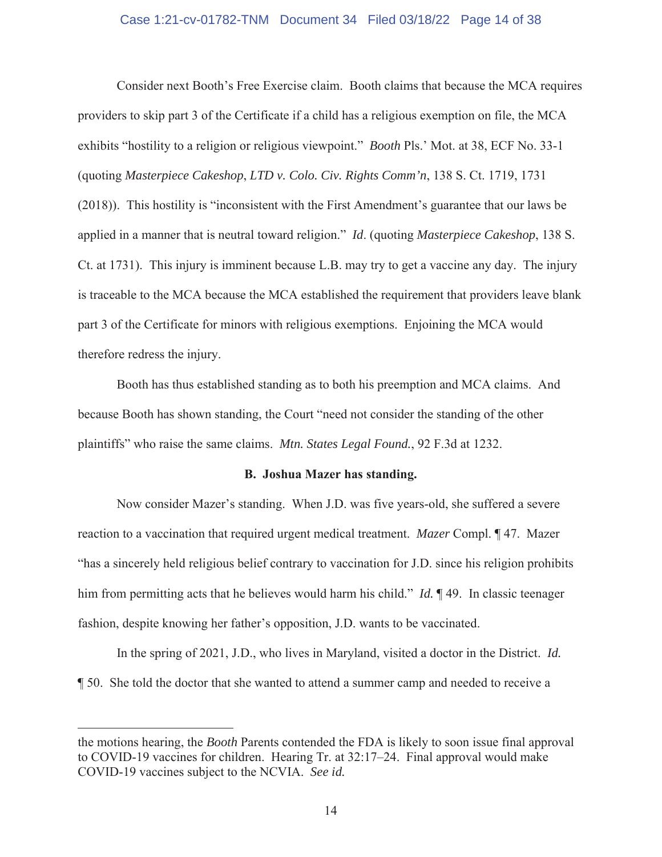# Case 1:21-cv-01782-TNM Document 34 Filed 03/18/22 Page 14 of 38

Consider next Booth's Free Exercise claim. Booth claims that because the MCA requires providers to skip part 3 of the Certificate if a child has a religious exemption on file, the MCA exhibits "hostility to a religion or religious viewpoint." *Booth* Pls.' Mot. at 38, ECF No. 33-1 (quoting *Masterpiece Cakeshop*, *LTD v. Colo. Civ. Rights Comm'n*, 138 S. Ct. 1719, 1731 (2018)). This hostility is "inconsistent with the First Amendment's guarantee that our laws be applied in a manner that is neutral toward religion." *Id*. (quoting *Masterpiece Cakeshop*, 138 S. Ct. at 1731). This injury is imminent because L.B. may try to get a vaccine any day. The injury is traceable to the MCA because the MCA established the requirement that providers leave blank part 3 of the Certificate for minors with religious exemptions. Enjoining the MCA would therefore redress the injury.

Booth has thus established standing as to both his preemption and MCA claims. And because Booth has shown standing, the Court "need not consider the standing of the other plaintiffs" who raise the same claims. *Mtn. States Legal Found.*, 92 F.3d at 1232.

#### **B. Joshua Mazer has standing.**

Now consider Mazer's standing. When J.D. was five years-old, she suffered a severe reaction to a vaccination that required urgent medical treatment. *Mazer* Compl. ¶ 47. Mazer "has a sincerely held religious belief contrary to vaccination for J.D. since his religion prohibits him from permitting acts that he believes would harm his child." *Id.* 149. In classic teenager fashion, despite knowing her father's opposition, J.D. wants to be vaccinated.

In the spring of 2021, J.D., who lives in Maryland, visited a doctor in the District. *Id.*  ¶ 50. She told the doctor that she wanted to attend a summer camp and needed to receive a

the motions hearing, the *Booth* Parents contended the FDA is likely to soon issue final approval to COVID-19 vaccines for children. Hearing Tr. at 32:17–24. Final approval would make COVID-19 vaccines subject to the NCVIA. *See id.*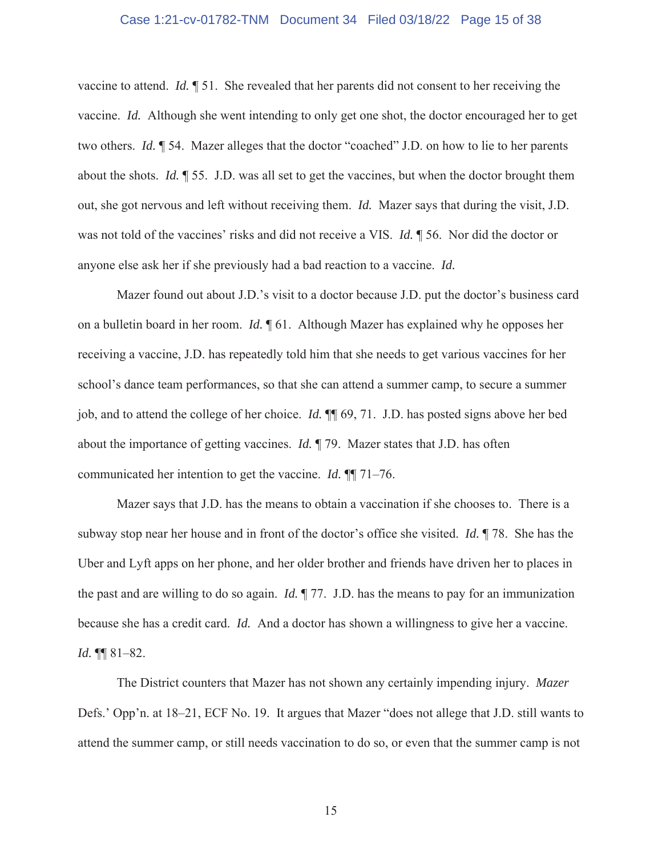# Case 1:21-cv-01782-TNM Document 34 Filed 03/18/22 Page 15 of 38

vaccine to attend. *Id.* ¶ 51. She revealed that her parents did not consent to her receiving the vaccine. *Id.* Although she went intending to only get one shot, the doctor encouraged her to get two others. *Id.* ¶ 54. Mazer alleges that the doctor "coached" J.D. on how to lie to her parents about the shots. *Id.* ¶ 55. J.D. was all set to get the vaccines, but when the doctor brought them out, she got nervous and left without receiving them. *Id.* Mazer says that during the visit, J.D. was not told of the vaccines' risks and did not receive a VIS. *Id.* ¶ 56. Nor did the doctor or anyone else ask her if she previously had a bad reaction to a vaccine. *Id.* 

Mazer found out about J.D.'s visit to a doctor because J.D. put the doctor's business card on a bulletin board in her room. *Id.* ¶ 61. Although Mazer has explained why he opposes her receiving a vaccine, J.D. has repeatedly told him that she needs to get various vaccines for her school's dance team performances, so that she can attend a summer camp, to secure a summer job, and to attend the college of her choice. *Id.* ¶¶ 69, 71. J.D. has posted signs above her bed about the importance of getting vaccines. *Id.* ¶ 79. Mazer states that J.D. has often communicated her intention to get the vaccine. *Id.* ¶¶ 71–76.

Mazer says that J.D. has the means to obtain a vaccination if she chooses to. There is a subway stop near her house and in front of the doctor's office she visited. *Id.* ¶ 78. She has the Uber and Lyft apps on her phone, and her older brother and friends have driven her to places in the past and are willing to do so again. *Id.* ¶ 77. J.D. has the means to pay for an immunization because she has a credit card. *Id.* And a doctor has shown a willingness to give her a vaccine. *Id.* ¶¶ 81–82.

The District counters that Mazer has not shown any certainly impending injury. *Mazer* Defs.' Opp'n. at 18–21, ECF No. 19. It argues that Mazer "does not allege that J.D. still wants to attend the summer camp, or still needs vaccination to do so, or even that the summer camp is not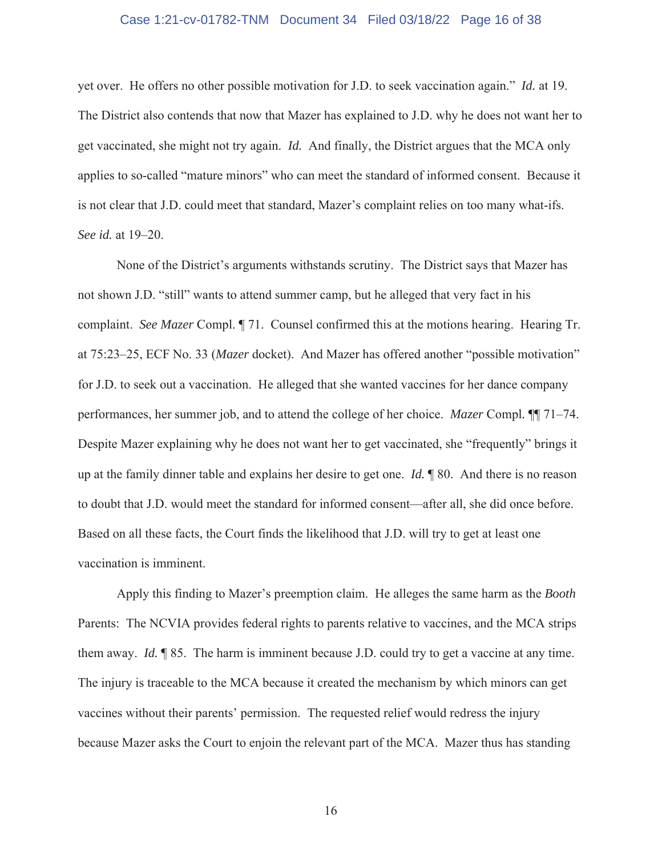# Case 1:21-cv-01782-TNM Document 34 Filed 03/18/22 Page 16 of 38

yet over. He offers no other possible motivation for J.D. to seek vaccination again." *Id.* at 19. The District also contends that now that Mazer has explained to J.D. why he does not want her to get vaccinated, she might not try again. *Id.* And finally, the District argues that the MCA only applies to so-called "mature minors" who can meet the standard of informed consent. Because it is not clear that J.D. could meet that standard, Mazer's complaint relies on too many what-ifs. *See id.* at 19–20.

None of the District's arguments withstands scrutiny. The District says that Mazer has not shown J.D. "still" wants to attend summer camp, but he alleged that very fact in his complaint. *See Mazer* Compl. ¶ 71. Counsel confirmed this at the motions hearing. Hearing Tr. at 75:23–25, ECF No. 33 (*Mazer* docket). And Mazer has offered another "possible motivation" for J.D. to seek out a vaccination. He alleged that she wanted vaccines for her dance company performances, her summer job, and to attend the college of her choice. *Mazer* Compl*.* ¶¶ 71–74. Despite Mazer explaining why he does not want her to get vaccinated, she "frequently" brings it up at the family dinner table and explains her desire to get one. *Id.* ¶ 80. And there is no reason to doubt that J.D. would meet the standard for informed consent—after all, she did once before. Based on all these facts, the Court finds the likelihood that J.D. will try to get at least one vaccination is imminent.

Apply this finding to Mazer's preemption claim. He alleges the same harm as the *Booth* Parents: The NCVIA provides federal rights to parents relative to vaccines, and the MCA strips them away. *Id.* ¶ 85. The harm is imminent because J.D. could try to get a vaccine at any time. The injury is traceable to the MCA because it created the mechanism by which minors can get vaccines without their parents' permission. The requested relief would redress the injury because Mazer asks the Court to enjoin the relevant part of the MCA. Mazer thus has standing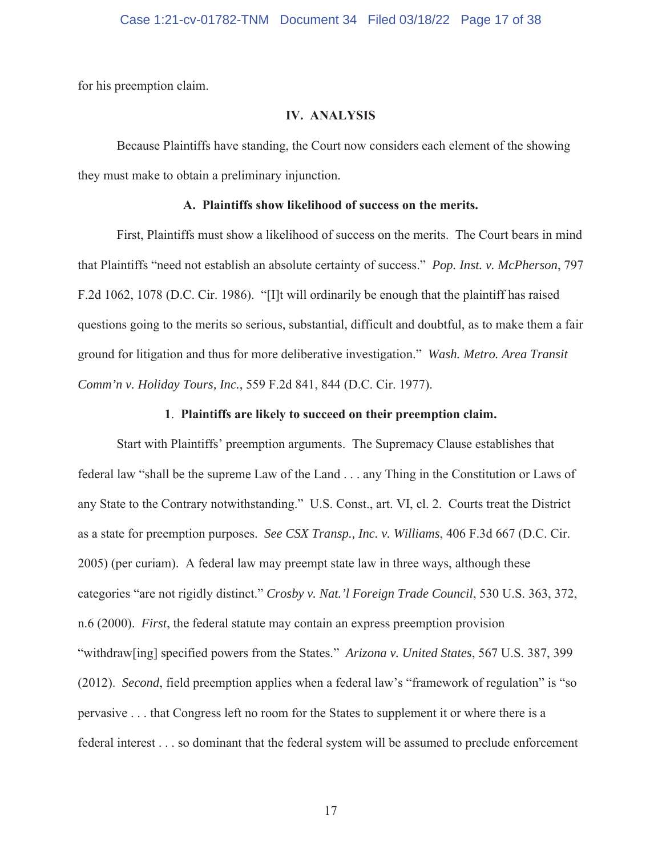for his preemption claim.

# **IV. ANALYSIS**

Because Plaintiffs have standing, the Court now considers each element of the showing they must make to obtain a preliminary injunction.

# **A. Plaintiffs show likelihood of success on the merits.**

First, Plaintiffs must show a likelihood of success on the merits. The Court bears in mind that Plaintiffs "need not establish an absolute certainty of success." *Pop. Inst. v. McPherson*, 797 F.2d 1062, 1078 (D.C. Cir. 1986). "[I]t will ordinarily be enough that the plaintiff has raised questions going to the merits so serious, substantial, difficult and doubtful, as to make them a fair ground for litigation and thus for more deliberative investigation." *Wash. Metro. Area Transit Comm'n v. Holiday Tours, Inc.*, 559 F.2d 841, 844 (D.C. Cir. 1977).

# **1**. **Plaintiffs are likely to succeed on their preemption claim.**

Start with Plaintiffs' preemption arguments. The Supremacy Clause establishes that federal law "shall be the supreme Law of the Land . . . any Thing in the Constitution or Laws of any State to the Contrary notwithstanding." U.S. Const., art. VI, cl. 2. Courts treat the District as a state for preemption purposes. *See CSX Transp., Inc. v. Williams*, 406 F.3d 667 (D.C. Cir. 2005) (per curiam). A federal law may preempt state law in three ways, although these categories "are not rigidly distinct." *Crosby v. Nat.'l Foreign Trade Council*, 530 U.S. 363, 372, n.6 (2000). *First*, the federal statute may contain an express preemption provision "withdraw[ing] specified powers from the States." *Arizona v. United States*, 567 U.S. 387, 399 (2012). *Second*, field preemption applies when a federal law's "framework of regulation" is "so pervasive . . . that Congress left no room for the States to supplement it or where there is a federal interest . . . so dominant that the federal system will be assumed to preclude enforcement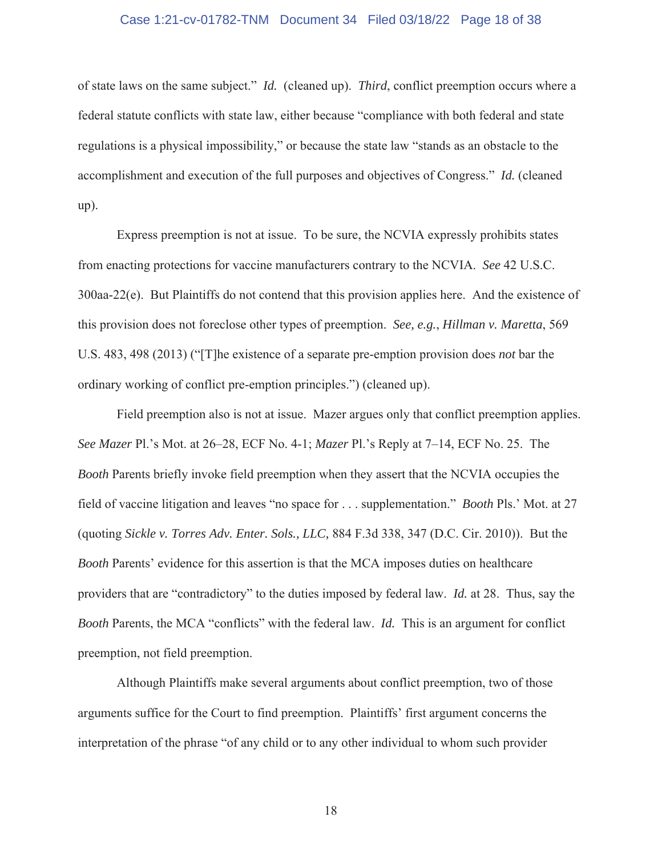# Case 1:21-cv-01782-TNM Document 34 Filed 03/18/22 Page 18 of 38

of state laws on the same subject." *Id.* (cleaned up). *Third*, conflict preemption occurs where a federal statute conflicts with state law, either because "compliance with both federal and state regulations is a physical impossibility," or because the state law "stands as an obstacle to the accomplishment and execution of the full purposes and objectives of Congress." *Id.* (cleaned up).

Express preemption is not at issue. To be sure, the NCVIA expressly prohibits states from enacting protections for vaccine manufacturers contrary to the NCVIA. *See* 42 U.S.C. 300aa-22(e). But Plaintiffs do not contend that this provision applies here. And the existence of this provision does not foreclose other types of preemption. *See, e.g.*, *Hillman v. Maretta*, 569 U.S. 483, 498 (2013) ("[T]he existence of a separate pre-emption provision does *not* bar the ordinary working of conflict pre-emption principles.") (cleaned up).

Field preemption also is not at issue. Mazer argues only that conflict preemption applies. *See Mazer* Pl.'s Mot. at 26–28, ECF No. 4-1; *Mazer* Pl.'s Reply at 7–14, ECF No. 25. The *Booth* Parents briefly invoke field preemption when they assert that the NCVIA occupies the field of vaccine litigation and leaves "no space for . . . supplementation." *Booth* Pls.' Mot. at 27 (quoting *Sickle v. Torres Adv. Enter. Sols., LLC,* 884 F.3d 338, 347 (D.C. Cir. 2010)). But the *Booth* Parents' evidence for this assertion is that the MCA imposes duties on healthcare providers that are "contradictory" to the duties imposed by federal law. *Id.* at 28. Thus, say the *Booth* Parents, the MCA "conflicts" with the federal law. *Id.* This is an argument for conflict preemption, not field preemption.

Although Plaintiffs make several arguments about conflict preemption, two of those arguments suffice for the Court to find preemption. Plaintiffs' first argument concerns the interpretation of the phrase "of any child or to any other individual to whom such provider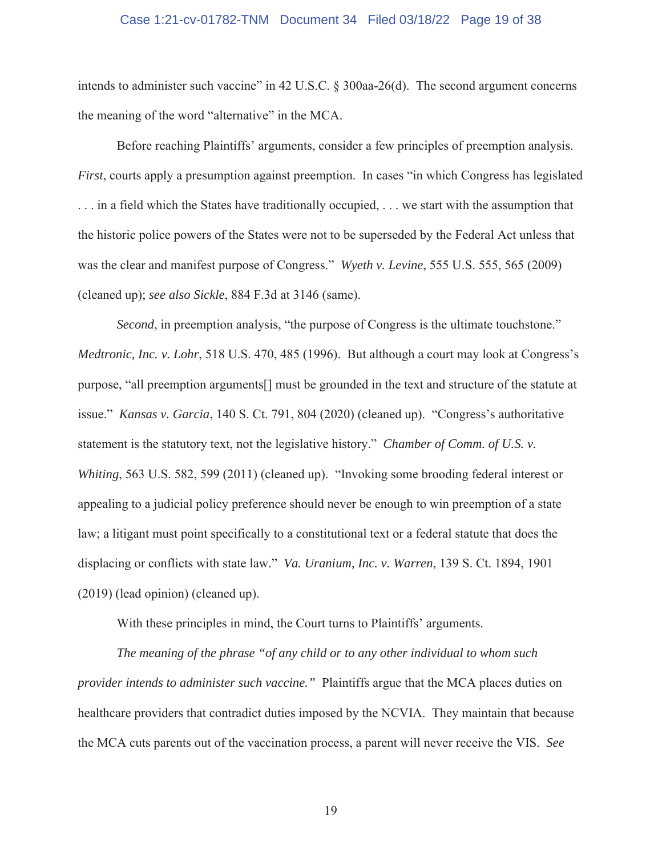#### Case 1:21-cv-01782-TNM Document 34 Filed 03/18/22 Page 19 of 38

intends to administer such vaccine" in 42 U.S.C. § 300aa-26(d). The second argument concerns the meaning of the word "alternative" in the MCA.

Before reaching Plaintiffs' arguments, consider a few principles of preemption analysis. *First*, courts apply a presumption against preemption. In cases "in which Congress has legislated . . . in a field which the States have traditionally occupied, . . . we start with the assumption that the historic police powers of the States were not to be superseded by the Federal Act unless that was the clear and manifest purpose of Congress." *Wyeth v. Levine*, 555 U.S. 555, 565 (2009) (cleaned up); *see also Sickle*, 884 F.3d at 3146 (same).

*Second*, in preemption analysis, "the purpose of Congress is the ultimate touchstone." *Medtronic, Inc. v. Lohr*, 518 U.S. 470, 485 (1996). But although a court may look at Congress's purpose, "all preemption arguments[] must be grounded in the text and structure of the statute at issue." *Kansas v. Garcia*, 140 S. Ct. 791, 804 (2020) (cleaned up). "Congress's authoritative statement is the statutory text, not the legislative history." *Chamber of Comm. of U.S. v. Whiting*, 563 U.S. 582, 599 (2011) (cleaned up). "Invoking some brooding federal interest or appealing to a judicial policy preference should never be enough to win preemption of a state law; a litigant must point specifically to a constitutional text or a federal statute that does the displacing or conflicts with state law." *Va. Uranium, Inc. v. Warren*, 139 S. Ct. 1894, 1901 (2019) (lead opinion) (cleaned up).

With these principles in mind, the Court turns to Plaintiffs' arguments.

*The meaning of the phrase "of any child or to any other individual to whom such provider intends to administer such vaccine."* Plaintiffs argue that the MCA places duties on healthcare providers that contradict duties imposed by the NCVIA. They maintain that because the MCA cuts parents out of the vaccination process, a parent will never receive the VIS. *See*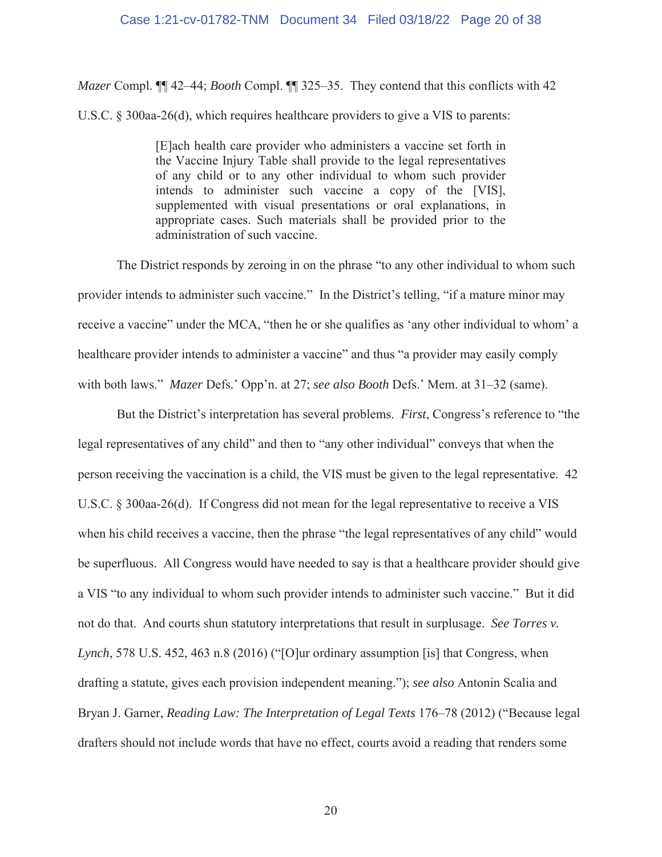*Mazer* Compl. ¶¶ 42–44; *Booth* Compl. ¶¶ 325–35. They contend that this conflicts with 42 U.S.C. § 300aa-26(d), which requires healthcare providers to give a VIS to parents:

> [E]ach health care provider who administers a vaccine set forth in the Vaccine Injury Table shall provide to the legal representatives of any child or to any other individual to whom such provider intends to administer such vaccine a copy of the [VIS], supplemented with visual presentations or oral explanations, in appropriate cases. Such materials shall be provided prior to the administration of such vaccine.

The District responds by zeroing in on the phrase "to any other individual to whom such provider intends to administer such vaccine." In the District's telling, "if a mature minor may receive a vaccine" under the MCA, "then he or she qualifies as 'any other individual to whom' a healthcare provider intends to administer a vaccine" and thus "a provider may easily comply with both laws." *Mazer* Defs.' Opp'n. at 27; *see also Booth* Defs.' Mem. at 31–32 (same).

But the District's interpretation has several problems. *First*, Congress's reference to "the legal representatives of any child" and then to "any other individual" conveys that when the person receiving the vaccination is a child, the VIS must be given to the legal representative. 42 U.S.C. § 300aa-26(d). If Congress did not mean for the legal representative to receive a VIS when his child receives a vaccine, then the phrase "the legal representatives of any child" would be superfluous. All Congress would have needed to say is that a healthcare provider should give a VIS "to any individual to whom such provider intends to administer such vaccine." But it did not do that. And courts shun statutory interpretations that result in surplusage. *See Torres v. Lynch*, 578 U.S. 452, 463 n.8 (2016) ("[O]ur ordinary assumption [is] that Congress, when drafting a statute, gives each provision independent meaning."); *see also* Antonin Scalia and Bryan J. Garner, *Reading Law: The Interpretation of Legal Texts* 176–78 (2012) ("Because legal drafters should not include words that have no effect, courts avoid a reading that renders some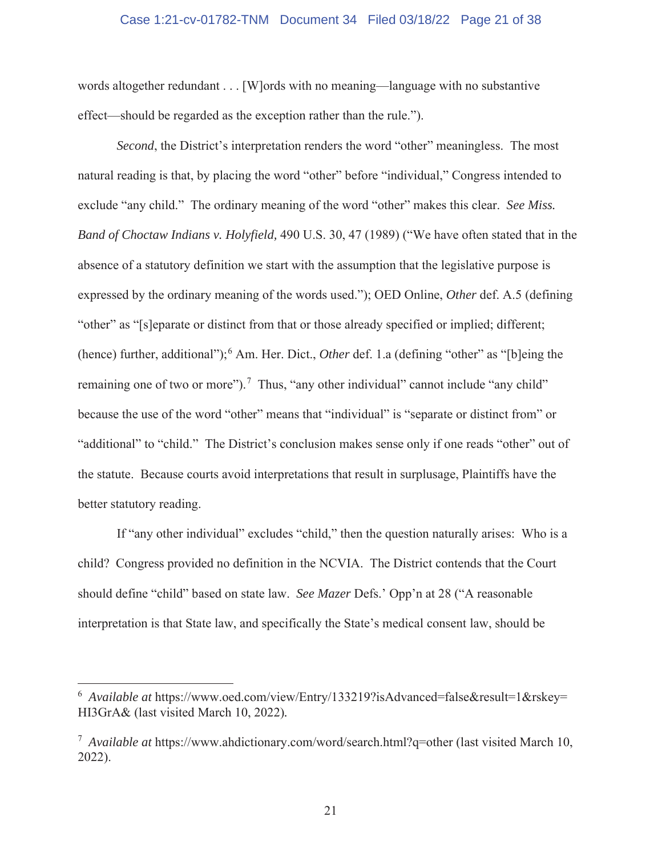# Case 1:21-cv-01782-TNM Document 34 Filed 03/18/22 Page 21 of 38

words altogether redundant . . . [W]ords with no meaning—language with no substantive effect—should be regarded as the exception rather than the rule.").

*Second*, the District's interpretation renders the word "other" meaningless. The most natural reading is that, by placing the word "other" before "individual," Congress intended to exclude "any child." The ordinary meaning of the word "other" makes this clear. *See Miss. Band of Choctaw Indians v. Holyfield,* 490 U.S. 30, 47 (1989) ("We have often stated that in the absence of a statutory definition we start with the assumption that the legislative purpose is expressed by the ordinary meaning of the words used."); OED Online, *Other* def. A.5 (defining "other" as "[s]eparate or distinct from that or those already specified or implied; different; (hence) further, additional");<sup>6</sup> Am. Her. Dict., *Other* def. 1.a (defining "other" as "[b]eing the remaining one of two or more").<sup>7</sup> Thus, "any other individual" cannot include "any child" because the use of the word "other" means that "individual" is "separate or distinct from" or "additional" to "child." The District's conclusion makes sense only if one reads "other" out of the statute. Because courts avoid interpretations that result in surplusage, Plaintiffs have the better statutory reading.

If "any other individual" excludes "child," then the question naturally arises: Who is a child? Congress provided no definition in the NCVIA. The District contends that the Court should define "child" based on state law. *See Mazer* Defs.' Opp'n at 28 ("A reasonable interpretation is that State law, and specifically the State's medical consent law, should be

<sup>&</sup>lt;sup>6</sup> Available at https://www.oed.com/view/Entry/133219?isAdvanced=false&result=1&rskey= HI3GrA& (last visited March 10, 2022)*.* 

<sup>&</sup>lt;sup>7</sup> Available at https://www.ahdictionary.com/word/search.html?q=other (last visited March 10, 2022).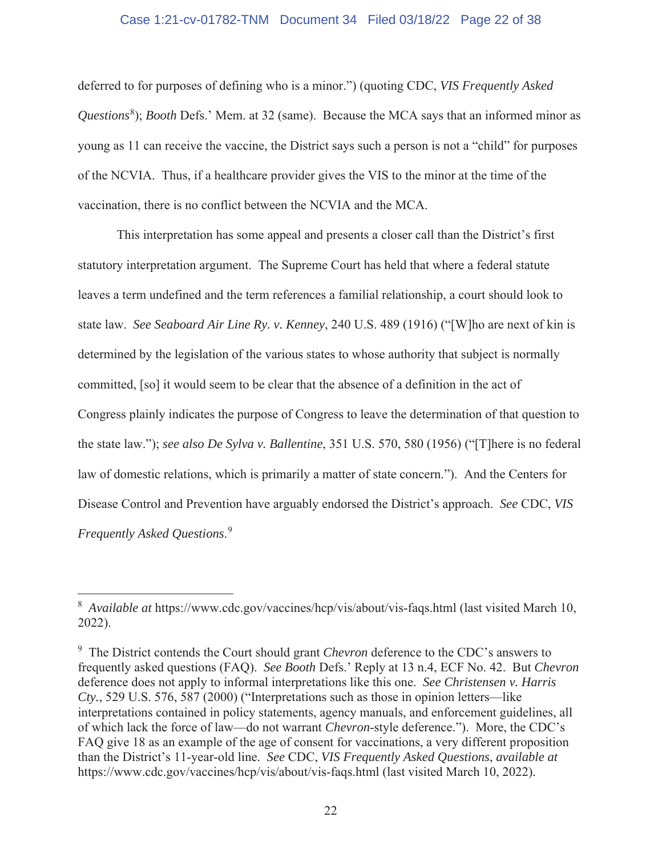# Case 1:21-cv-01782-TNM Document 34 Filed 03/18/22 Page 22 of 38

deferred to for purposes of defining who is a minor.") (quoting CDC, *VIS Frequently Asked*  Questions<sup>8</sup>); *Booth* Defs.' Mem. at 32 (same). Because the MCA says that an informed minor as young as 11 can receive the vaccine, the District says such a person is not a "child" for purposes of the NCVIA. Thus, if a healthcare provider gives the VIS to the minor at the time of the vaccination, there is no conflict between the NCVIA and the MCA.

This interpretation has some appeal and presents a closer call than the District's first statutory interpretation argument. The Supreme Court has held that where a federal statute leaves a term undefined and the term references a familial relationship, a court should look to state law. *See Seaboard Air Line Ry. v. Kenney*, 240 U.S. 489 (1916) ("[W]ho are next of kin is determined by the legislation of the various states to whose authority that subject is normally committed, [so] it would seem to be clear that the absence of a definition in the act of Congress plainly indicates the purpose of Congress to leave the determination of that question to the state law."); *see also De Sylva v. Ballentine*, 351 U.S. 570, 580 (1956) ("[T]here is no federal law of domestic relations, which is primarily a matter of state concern."). And the Centers for Disease Control and Prevention have arguably endorsed the District's approach. *See* CDC, *VIS Frequently Asked Questions*. 9

<sup>&</sup>lt;sup>8</sup> Available at https://www.cdc.gov/vaccines/hcp/vis/about/vis-faqs.html (last visited March 10, 2022).

<sup>9</sup> The District contends the Court should grant *Chevron* deference to the CDC's answers to frequently asked questions (FAQ). *See Booth* Defs.' Reply at 13 n.4, ECF No. 42. But *Chevron*  deference does not apply to informal interpretations like this one. *See Christensen v. Harris Cty.*, 529 U.S. 576, 587 (2000) ("Interpretations such as those in opinion letters—like interpretations contained in policy statements, agency manuals, and enforcement guidelines, all of which lack the force of law—do not warrant *Chevron*-style deference."). More, the CDC's FAQ give 18 as an example of the age of consent for vaccinations, a very different proposition than the District's 11-year-old line. *See* CDC, *VIS Frequently Asked Questions*, *available at*  https://www.cdc.gov/vaccines/hcp/vis/about/vis-faqs.html (last visited March 10, 2022).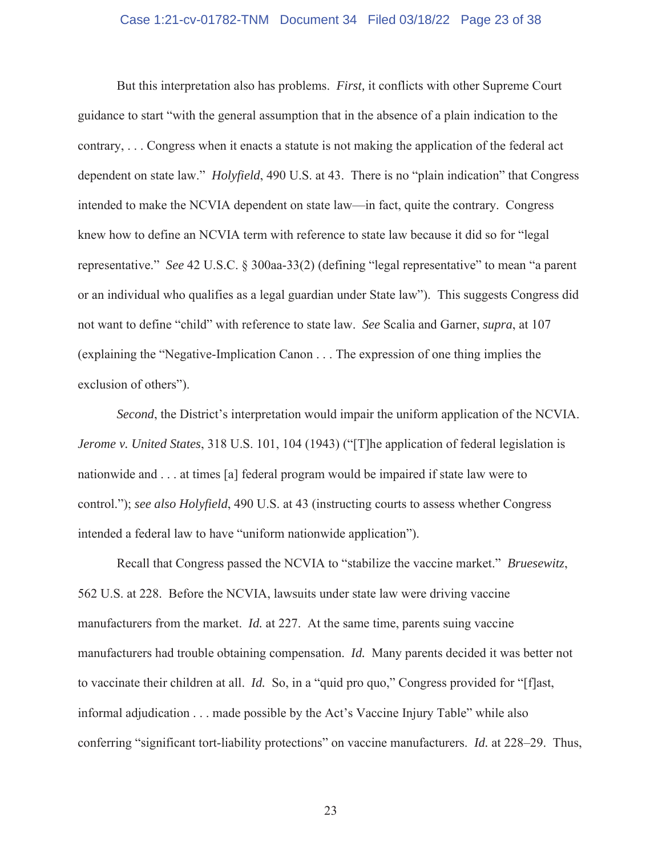# Case 1:21-cv-01782-TNM Document 34 Filed 03/18/22 Page 23 of 38

But this interpretation also has problems. *First,* it conflicts with other Supreme Court guidance to start "with the general assumption that in the absence of a plain indication to the contrary, . . . Congress when it enacts a statute is not making the application of the federal act dependent on state law." *Holyfield*, 490 U.S. at 43. There is no "plain indication" that Congress intended to make the NCVIA dependent on state law—in fact, quite the contrary. Congress knew how to define an NCVIA term with reference to state law because it did so for "legal representative." *See* 42 U.S.C. § 300aa-33(2) (defining "legal representative" to mean "a parent or an individual who qualifies as a legal guardian under State law"). This suggests Congress did not want to define "child" with reference to state law. *See* Scalia and Garner, *supra*, at 107 (explaining the "Negative-Implication Canon . . . The expression of one thing implies the exclusion of others").

*Second*, the District's interpretation would impair the uniform application of the NCVIA. *Jerome v. United States*, 318 U.S. 101, 104 (1943) ("[T]he application of federal legislation is nationwide and . . . at times [a] federal program would be impaired if state law were to control."); *see also Holyfield*, 490 U.S. at 43 (instructing courts to assess whether Congress intended a federal law to have "uniform nationwide application").

Recall that Congress passed the NCVIA to "stabilize the vaccine market." *Bruesewitz*, 562 U.S. at 228. Before the NCVIA, lawsuits under state law were driving vaccine manufacturers from the market. *Id.* at 227. At the same time, parents suing vaccine manufacturers had trouble obtaining compensation. *Id.* Many parents decided it was better not to vaccinate their children at all. *Id.* So, in a "quid pro quo," Congress provided for "[f]ast, informal adjudication . . . made possible by the Act's Vaccine Injury Table" while also conferring "significant tort-liability protections" on vaccine manufacturers. *Id.* at 228–29. Thus,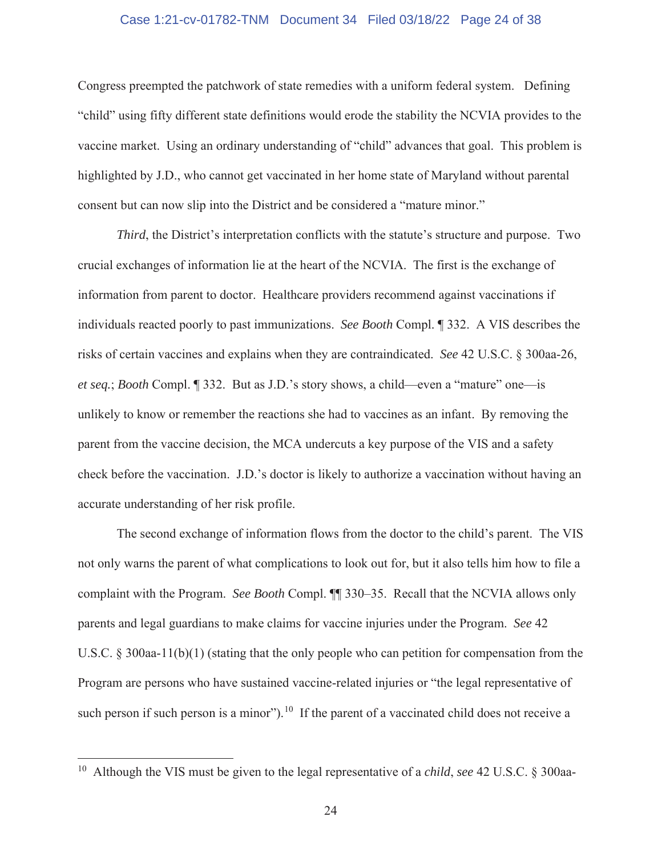# Case 1:21-cv-01782-TNM Document 34 Filed 03/18/22 Page 24 of 38

Congress preempted the patchwork of state remedies with a uniform federal system. Defining "child" using fifty different state definitions would erode the stability the NCVIA provides to the vaccine market. Using an ordinary understanding of "child" advances that goal. This problem is highlighted by J.D., who cannot get vaccinated in her home state of Maryland without parental consent but can now slip into the District and be considered a "mature minor."

*Third*, the District's interpretation conflicts with the statute's structure and purpose. Two crucial exchanges of information lie at the heart of the NCVIA. The first is the exchange of information from parent to doctor. Healthcare providers recommend against vaccinations if individuals reacted poorly to past immunizations. *See Booth* Compl. ¶ 332. A VIS describes the risks of certain vaccines and explains when they are contraindicated. *See* 42 U.S.C. § 300aa-26, *et seq.*; *Booth* Compl. ¶ 332. But as J.D.'s story shows, a child—even a "mature" one—is unlikely to know or remember the reactions she had to vaccines as an infant. By removing the parent from the vaccine decision, the MCA undercuts a key purpose of the VIS and a safety check before the vaccination. J.D.'s doctor is likely to authorize a vaccination without having an accurate understanding of her risk profile.

The second exchange of information flows from the doctor to the child's parent. The VIS not only warns the parent of what complications to look out for, but it also tells him how to file a complaint with the Program. *See Booth* Compl. ¶¶ 330–35. Recall that the NCVIA allows only parents and legal guardians to make claims for vaccine injuries under the Program. *See* 42 U.S.C. § 300aa-11(b)(1) (stating that the only people who can petition for compensation from the Program are persons who have sustained vaccine-related injuries or "the legal representative of such person if such person is a minor").<sup>10</sup> If the parent of a vaccinated child does not receive a

<sup>10</sup> Although the VIS must be given to the legal representative of a *child*, *see* 42 U.S.C. § 300aa-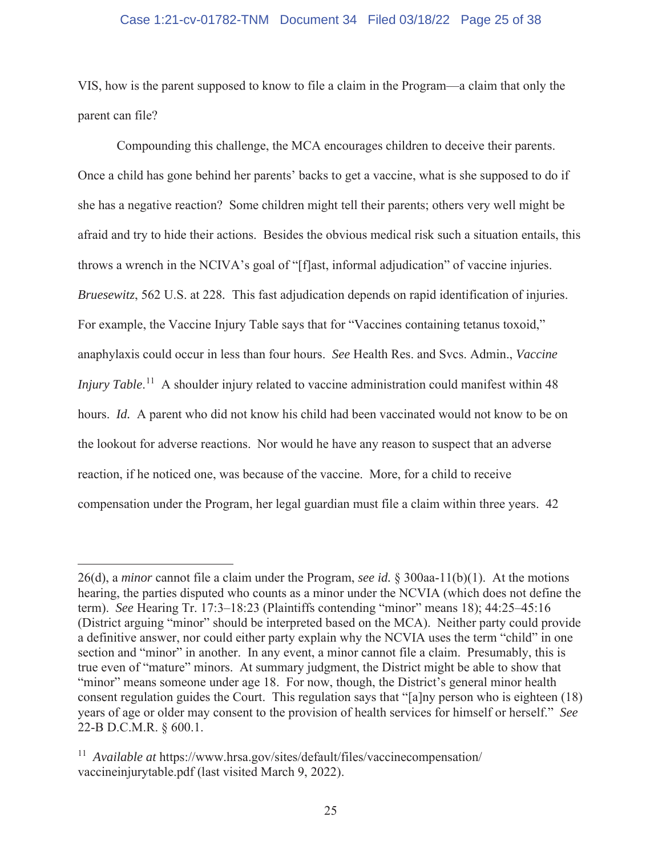# Case 1:21-cv-01782-TNM Document 34 Filed 03/18/22 Page 25 of 38

VIS, how is the parent supposed to know to file a claim in the Program—a claim that only the parent can file?

Compounding this challenge, the MCA encourages children to deceive their parents. Once a child has gone behind her parents' backs to get a vaccine, what is she supposed to do if she has a negative reaction? Some children might tell their parents; others very well might be afraid and try to hide their actions. Besides the obvious medical risk such a situation entails, this throws a wrench in the NCIVA's goal of "[f]ast, informal adjudication" of vaccine injuries. *Bruesewitz*, 562 U.S. at 228*.* This fast adjudication depends on rapid identification of injuries. For example, the Vaccine Injury Table says that for "Vaccines containing tetanus toxoid," anaphylaxis could occur in less than four hours. *See* Health Res. and Svcs. Admin., *Vaccine Injury Table*.<sup>11</sup> A shoulder injury related to vaccine administration could manifest within 48 hours. *Id.* A parent who did not know his child had been vaccinated would not know to be on the lookout for adverse reactions. Nor would he have any reason to suspect that an adverse reaction, if he noticed one, was because of the vaccine. More, for a child to receive compensation under the Program, her legal guardian must file a claim within three years. 42

<sup>26(</sup>d), a *minor* cannot file a claim under the Program, *see id.* § 300aa-11(b)(1). At the motions hearing, the parties disputed who counts as a minor under the NCVIA (which does not define the term). *See* Hearing Tr. 17:3–18:23 (Plaintiffs contending "minor" means 18); 44:25–45:16 (District arguing "minor" should be interpreted based on the MCA). Neither party could provide a definitive answer, nor could either party explain why the NCVIA uses the term "child" in one section and "minor" in another. In any event, a minor cannot file a claim. Presumably, this is true even of "mature" minors. At summary judgment, the District might be able to show that "minor" means someone under age 18. For now, though, the District's general minor health consent regulation guides the Court. This regulation says that "[a]ny person who is eighteen (18) years of age or older may consent to the provision of health services for himself or herself." *See*  22-B D.C.M.R. § 600.1.

<sup>&</sup>lt;sup>11</sup> *Available at https://www.hrsa.gov/sites/default/files/vaccinecompensation/* vaccineinjurytable.pdf (last visited March 9, 2022).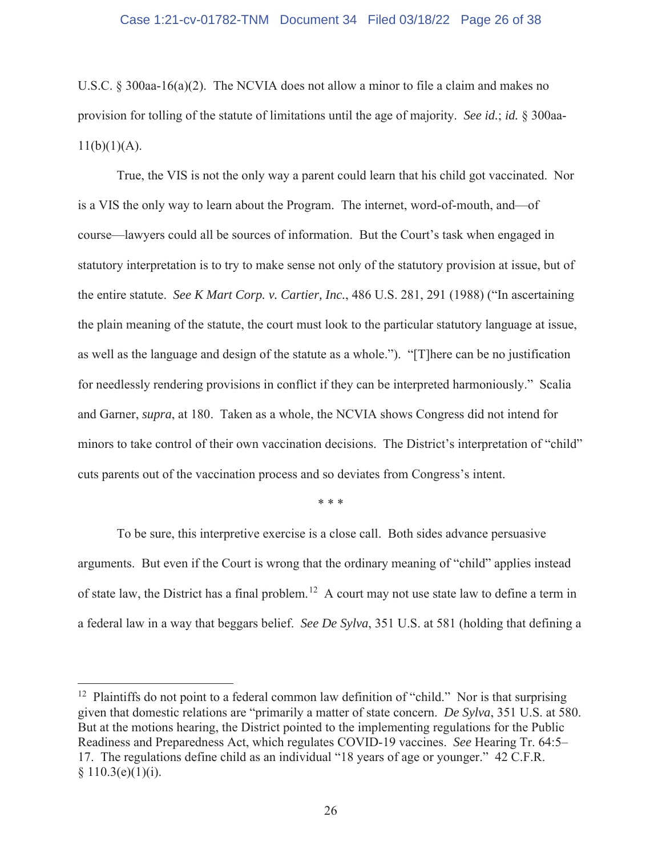U.S.C. § 300aa-16(a)(2). The NCVIA does not allow a minor to file a claim and makes no provision for tolling of the statute of limitations until the age of majority. *See id.*; *id.* § 300aa- $11(b)(1)(A)$ .

True, the VIS is not the only way a parent could learn that his child got vaccinated. Nor is a VIS the only way to learn about the Program. The internet, word-of-mouth, and—of course—lawyers could all be sources of information. But the Court's task when engaged in statutory interpretation is to try to make sense not only of the statutory provision at issue, but of the entire statute. *See K Mart Corp. v. Cartier, Inc.*, 486 U.S. 281, 291 (1988) ("In ascertaining the plain meaning of the statute, the court must look to the particular statutory language at issue, as well as the language and design of the statute as a whole."). "[T]here can be no justification for needlessly rendering provisions in conflict if they can be interpreted harmoniously." Scalia and Garner, *supra*, at 180. Taken as a whole, the NCVIA shows Congress did not intend for minors to take control of their own vaccination decisions. The District's interpretation of "child" cuts parents out of the vaccination process and so deviates from Congress's intent.

\* \* \*

 To be sure, this interpretive exercise is a close call. Both sides advance persuasive arguments. But even if the Court is wrong that the ordinary meaning of "child" applies instead of state law, the District has a final problem.<sup>12</sup> A court may not use state law to define a term in a federal law in a way that beggars belief. *See De Sylva*, 351 U.S. at 581 (holding that defining a

<sup>&</sup>lt;sup>12</sup> Plaintiffs do not point to a federal common law definition of "child." Nor is that surprising given that domestic relations are "primarily a matter of state concern. *De Sylva*, 351 U.S. at 580. But at the motions hearing, the District pointed to the implementing regulations for the Public Readiness and Preparedness Act, which regulates COVID-19 vaccines. *See* Hearing Tr. 64:5– 17. The regulations define child as an individual "18 years of age or younger." 42 C.F.R.  $§ 110.3(e)(1)(i).$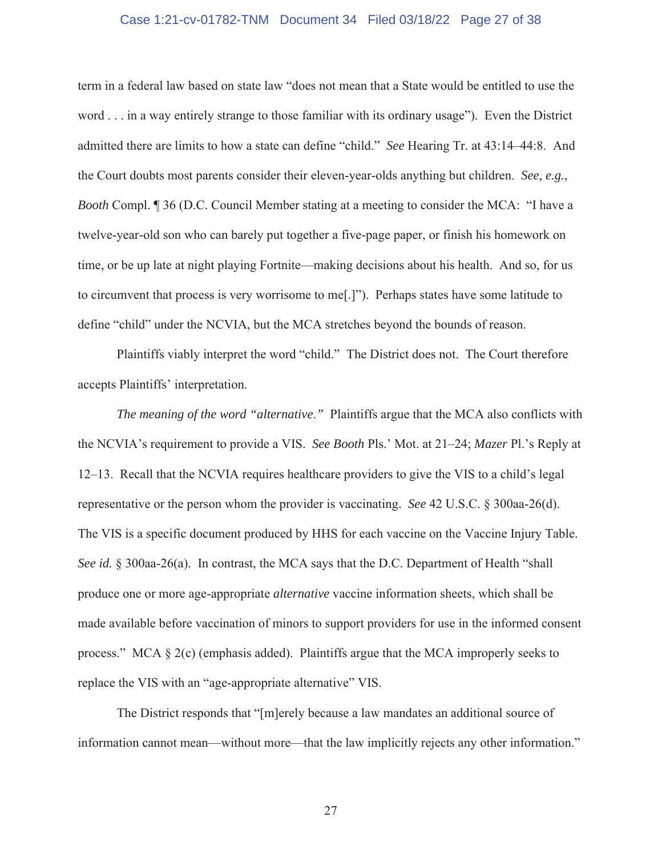# Case 1:21-cv-01782-TNM Document 34 Filed 03/18/22 Page 27 of 38

term in a federal law based on state law "does not mean that a State would be entitled to use the word . . . in a way entirely strange to those familiar with its ordinary usage"). Even the District admitted there are limits to how a state can define "child." *See* Hearing Tr. at 43:14–44:8. And the Court doubts most parents consider their eleven-year-olds anything but children. *See, e.g.*, *Booth* Compl. ¶ 36 (D.C. Council Member stating at a meeting to consider the MCA: "I have a twelve-year-old son who can barely put together a five-page paper, or finish his homework on time, or be up late at night playing Fortnite—making decisions about his health. And so, for us to circumvent that process is very worrisome to me[.]"). Perhaps states have some latitude to define "child" under the NCVIA, but the MCA stretches beyond the bounds of reason.

 Plaintiffs viably interpret the word "child." The District does not. The Court therefore accepts Plaintiffs' interpretation.

*The meaning of the word "alternative*.*"* Plaintiffs argue that the MCA also conflicts with the NCVIA's requirement to provide a VIS. *See Booth* Pls.' Mot. at 21–24; *Mazer* Pl.'s Reply at 12–13. Recall that the NCVIA requires healthcare providers to give the VIS to a child's legal representative or the person whom the provider is vaccinating. *See* 42 U.S.C. § 300aa-26(d). The VIS is a specific document produced by HHS for each vaccine on the Vaccine Injury Table. *See id.* § 300aa-26(a). In contrast, the MCA says that the D.C. Department of Health "shall produce one or more age-appropriate *alternative* vaccine information sheets, which shall be made available before vaccination of minors to support providers for use in the informed consent process." MCA § 2(c) (emphasis added). Plaintiffs argue that the MCA improperly seeks to replace the VIS with an "age-appropriate alternative" VIS.

The District responds that "[m]erely because a law mandates an additional source of information cannot mean—without more—that the law implicitly rejects any other information."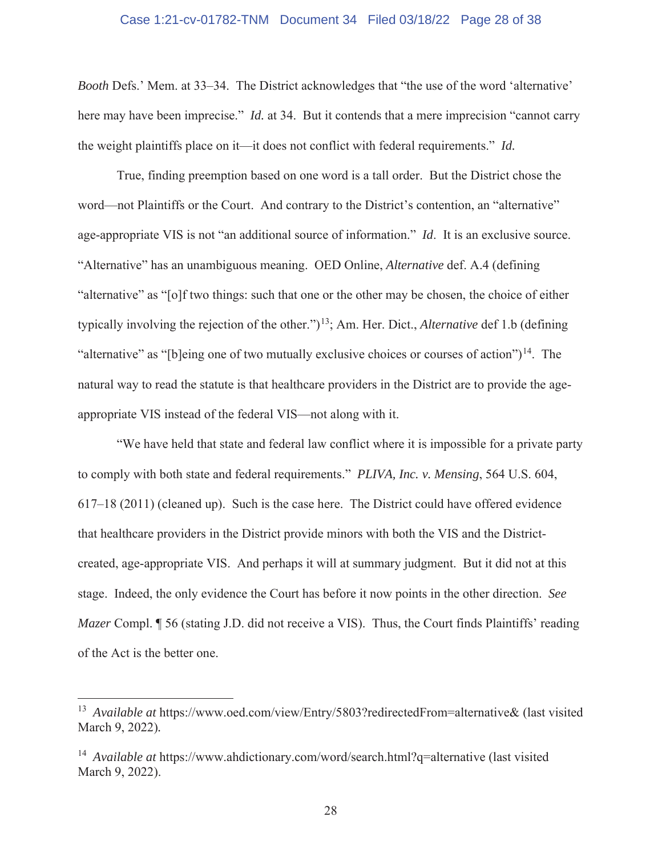# Case 1:21-cv-01782-TNM Document 34 Filed 03/18/22 Page 28 of 38

*Booth* Defs.' Mem. at 33–34. The District acknowledges that "the use of the word 'alternative' here may have been imprecise." *Id.* at 34. But it contends that a mere imprecision "cannot carry the weight plaintiffs place on it—it does not conflict with federal requirements." *Id.* 

True, finding preemption based on one word is a tall order. But the District chose the word—not Plaintiffs or the Court. And contrary to the District's contention, an "alternative" age-appropriate VIS is not "an additional source of information." *Id*. It is an exclusive source. "Alternative" has an unambiguous meaning. OED Online, *Alternative* def. A.4 (defining "alternative" as "[o]f two things: such that one or the other may be chosen, the choice of either typically involving the rejection of the other.")<sup>13</sup>; Am. Her. Dict., *Alternative* def 1.b (defining "alternative" as "[b]eing one of two mutually exclusive choices or courses of action")<sup>14</sup>. The natural way to read the statute is that healthcare providers in the District are to provide the ageappropriate VIS instead of the federal VIS—not along with it.

"We have held that state and federal law conflict where it is impossible for a private party to comply with both state and federal requirements." *PLIVA, Inc. v. Mensing*, 564 U.S. 604, 617–18 (2011) (cleaned up). Such is the case here. The District could have offered evidence that healthcare providers in the District provide minors with both the VIS and the Districtcreated, age-appropriate VIS. And perhaps it will at summary judgment. But it did not at this stage. Indeed, the only evidence the Court has before it now points in the other direction. *See Mazer* Compl. *[956 (stating J.D. did not receive a VIS). Thus, the Court finds Plaintiffs' reading* of the Act is the better one.

<sup>&</sup>lt;sup>13</sup> Available at https://www.oed.com/view/Entry/5803?redirectedFrom=alternative& (last visited March 9, 2022)*.* 

<sup>&</sup>lt;sup>14</sup> *Available at* https://www.ahdictionary.com/word/search.html?q=alternative (last visited March 9, 2022).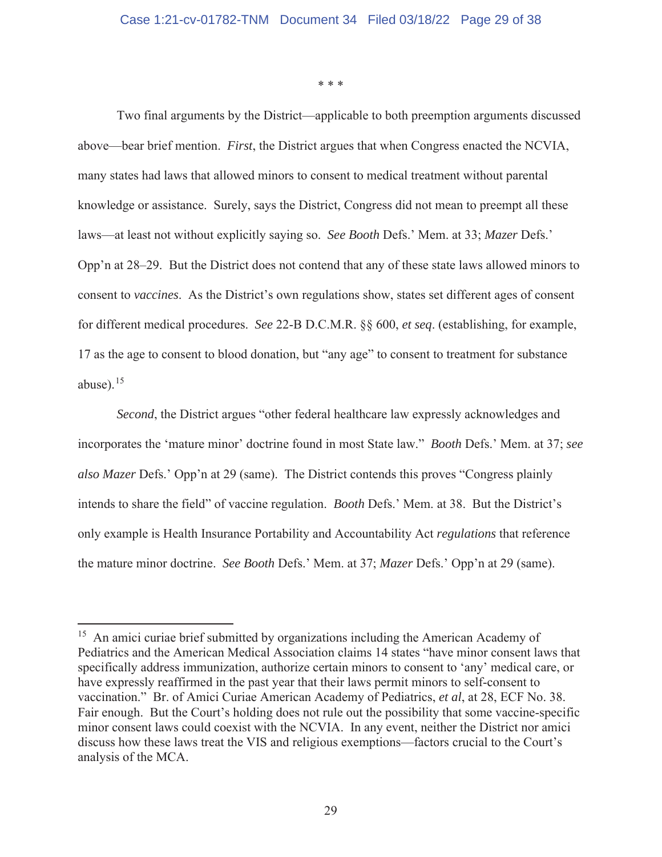\* \* \*

Two final arguments by the District—applicable to both preemption arguments discussed above—bear brief mention. *First*, the District argues that when Congress enacted the NCVIA, many states had laws that allowed minors to consent to medical treatment without parental knowledge or assistance. Surely, says the District, Congress did not mean to preempt all these laws—at least not without explicitly saying so. *See Booth* Defs.' Mem. at 33; *Mazer* Defs.' Opp'n at 28–29. But the District does not contend that any of these state laws allowed minors to consent to *vaccines*. As the District's own regulations show, states set different ages of consent for different medical procedures. *See* 22-B D.C.M.R. §§ 600, *et seq*. (establishing, for example, 17 as the age to consent to blood donation, but "any age" to consent to treatment for substance abuse). $15$ 

*Second*, the District argues "other federal healthcare law expressly acknowledges and incorporates the 'mature minor' doctrine found in most State law." *Booth* Defs.' Mem. at 37; *see also Mazer* Defs.' Opp'n at 29 (same). The District contends this proves "Congress plainly intends to share the field" of vaccine regulation. *Booth* Defs.' Mem. at 38. But the District's only example is Health Insurance Portability and Accountability Act *regulations* that reference the mature minor doctrine. *See Booth* Defs.' Mem. at 37; *Mazer* Defs.' Opp'n at 29 (same).

<sup>&</sup>lt;sup>15</sup> An amici curiae brief submitted by organizations including the American Academy of Pediatrics and the American Medical Association claims 14 states "have minor consent laws that specifically address immunization, authorize certain minors to consent to 'any' medical care, or have expressly reaffirmed in the past year that their laws permit minors to self-consent to vaccination." Br. of Amici Curiae American Academy of Pediatrics, *et al*, at 28, ECF No. 38. Fair enough. But the Court's holding does not rule out the possibility that some vaccine-specific minor consent laws could coexist with the NCVIA. In any event, neither the District nor amici discuss how these laws treat the VIS and religious exemptions—factors crucial to the Court's analysis of the MCA.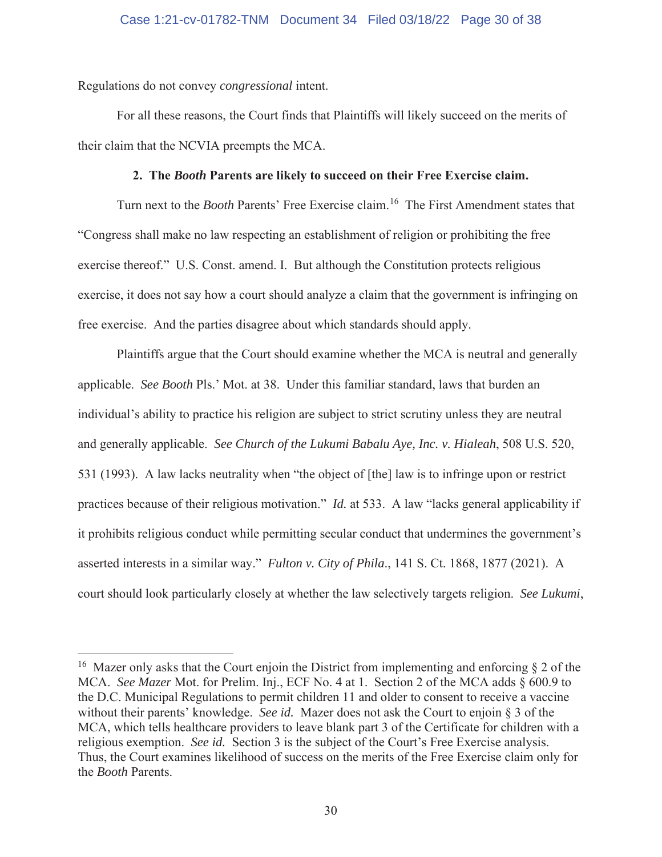Regulations do not convey *congressional* intent.

For all these reasons, the Court finds that Plaintiffs will likely succeed on the merits of their claim that the NCVIA preempts the MCA.

# **2. The** *Booth* **Parents are likely to succeed on their Free Exercise claim.**

Turn next to the *Booth* Parents' Free Exercise claim.16 The First Amendment states that "Congress shall make no law respecting an establishment of religion or prohibiting the free exercise thereof." U.S. Const. amend. I. But although the Constitution protects religious exercise, it does not say how a court should analyze a claim that the government is infringing on free exercise. And the parties disagree about which standards should apply.

Plaintiffs argue that the Court should examine whether the MCA is neutral and generally applicable. *See Booth* Pls.' Mot. at 38. Under this familiar standard, laws that burden an individual's ability to practice his religion are subject to strict scrutiny unless they are neutral and generally applicable. *See Church of the Lukumi Babalu Aye, Inc. v. Hialeah*, 508 U.S. 520, 531 (1993). A law lacks neutrality when "the object of [the] law is to infringe upon or restrict practices because of their religious motivation." *Id.* at 533. A law "lacks general applicability if it prohibits religious conduct while permitting secular conduct that undermines the government's asserted interests in a similar way." *Fulton v. City of Phila*., 141 S. Ct. 1868, 1877 (2021). A court should look particularly closely at whether the law selectively targets religion. *See Lukumi*,

<sup>&</sup>lt;sup>16</sup> Mazer only asks that the Court enjoin the District from implementing and enforcing  $\S 2$  of the MCA. *See Mazer* Mot. for Prelim. Inj., ECF No. 4 at 1. Section 2 of the MCA adds § 600.9 to the D.C. Municipal Regulations to permit children 11 and older to consent to receive a vaccine without their parents' knowledge. *See id.* Mazer does not ask the Court to enjoin § 3 of the MCA, which tells healthcare providers to leave blank part 3 of the Certificate for children with a religious exemption. *See id.* Section 3 is the subject of the Court's Free Exercise analysis. Thus, the Court examines likelihood of success on the merits of the Free Exercise claim only for the *Booth* Parents.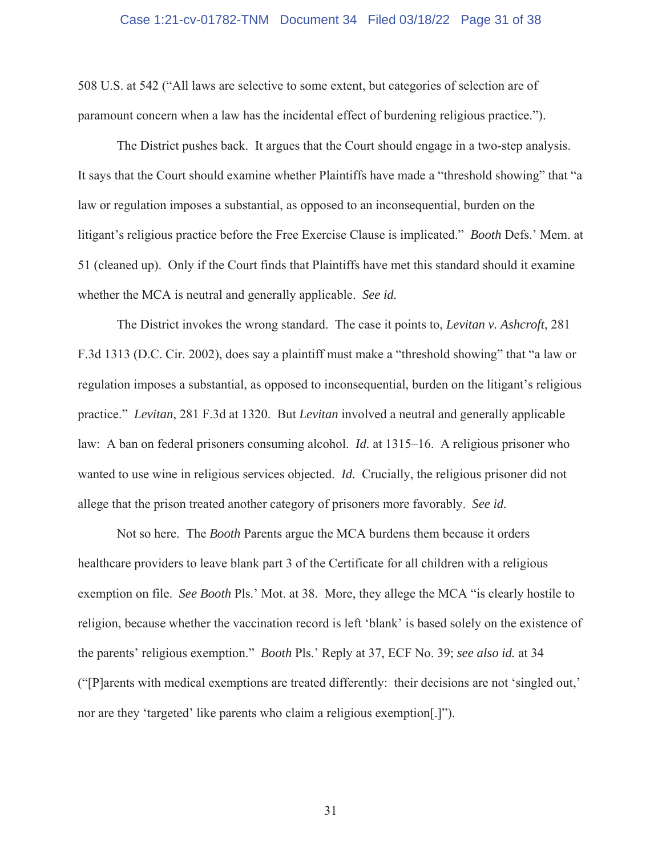## Case 1:21-cv-01782-TNM Document 34 Filed 03/18/22 Page 31 of 38

508 U.S. at 542 ("All laws are selective to some extent, but categories of selection are of paramount concern when a law has the incidental effect of burdening religious practice.").

The District pushes back. It argues that the Court should engage in a two-step analysis. It says that the Court should examine whether Plaintiffs have made a "threshold showing" that "a law or regulation imposes a substantial, as opposed to an inconsequential, burden on the litigant's religious practice before the Free Exercise Clause is implicated." *Booth* Defs.' Mem. at 51 (cleaned up). Only if the Court finds that Plaintiffs have met this standard should it examine whether the MCA is neutral and generally applicable. *See id.*

The District invokes the wrong standard. The case it points to, *Levitan v. Ashcroft*, 281 F.3d 1313 (D.C. Cir. 2002), does say a plaintiff must make a "threshold showing" that "a law or regulation imposes a substantial, as opposed to inconsequential, burden on the litigant's religious practice." *Levitan*, 281 F.3d at 1320. But *Levitan* involved a neutral and generally applicable law: A ban on federal prisoners consuming alcohol. *Id.* at 1315–16. A religious prisoner who wanted to use wine in religious services objected. *Id.* Crucially, the religious prisoner did not allege that the prison treated another category of prisoners more favorably. *See id.* 

Not so here. The *Booth* Parents argue the MCA burdens them because it orders healthcare providers to leave blank part 3 of the Certificate for all children with a religious exemption on file. *See Booth* Pls.' Mot. at 38. More, they allege the MCA "is clearly hostile to religion, because whether the vaccination record is left 'blank' is based solely on the existence of the parents' religious exemption." *Booth* Pls.' Reply at 37, ECF No. 39; *see also id.* at 34 ("[P]arents with medical exemptions are treated differently: their decisions are not 'singled out,' nor are they 'targeted' like parents who claim a religious exemption[.]").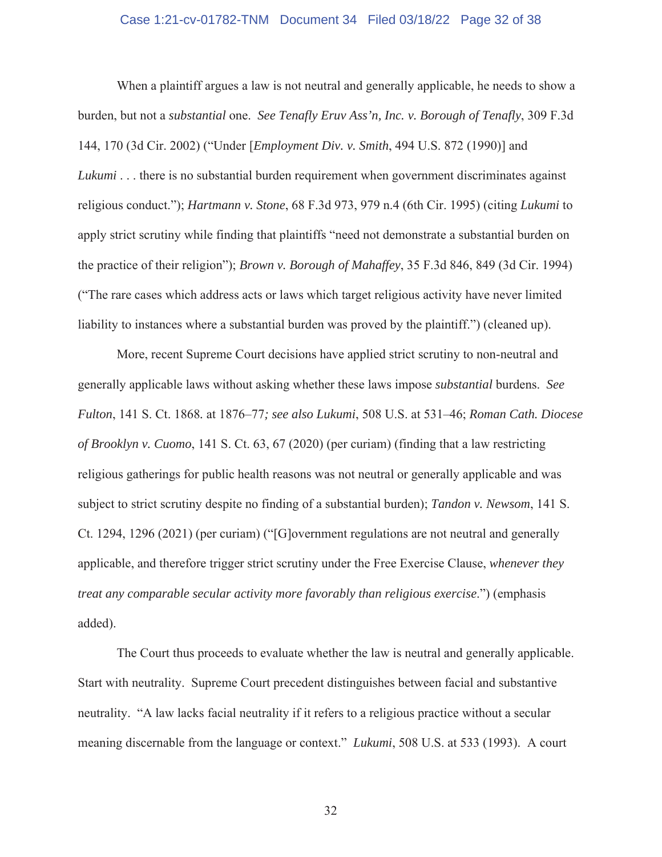# Case 1:21-cv-01782-TNM Document 34 Filed 03/18/22 Page 32 of 38

When a plaintiff argues a law is not neutral and generally applicable, he needs to show a burden, but not a *substantial* one. *See Tenafly Eruv Ass'n, Inc. v. Borough of Tenafly*, 309 F.3d 144, 170 (3d Cir. 2002) ("Under [*Employment Div. v. Smith*, 494 U.S. 872 (1990)] and *Lukumi* . . . there is no substantial burden requirement when government discriminates against religious conduct."); *Hartmann v. Stone*, 68 F.3d 973, 979 n.4 (6th Cir. 1995) (citing *Lukumi* to apply strict scrutiny while finding that plaintiffs "need not demonstrate a substantial burden on the practice of their religion"); *Brown v. Borough of Mahaffey*, 35 F.3d 846, 849 (3d Cir. 1994) ("The rare cases which address acts or laws which target religious activity have never limited liability to instances where a substantial burden was proved by the plaintiff.") (cleaned up).

More, recent Supreme Court decisions have applied strict scrutiny to non-neutral and generally applicable laws without asking whether these laws impose *substantial* burdens. *See Fulton*, 141 S. Ct. 1868*.* at 1876–77*; see also Lukumi*, 508 U.S. at 531–46; *Roman Cath. Diocese of Brooklyn v. Cuomo*, 141 S. Ct. 63, 67 (2020) (per curiam) (finding that a law restricting religious gatherings for public health reasons was not neutral or generally applicable and was subject to strict scrutiny despite no finding of a substantial burden); *Tandon v. Newsom*, 141 S. Ct. 1294, 1296 (2021) (per curiam) ("[G]overnment regulations are not neutral and generally applicable, and therefore trigger strict scrutiny under the Free Exercise Clause, *whenever they treat any comparable secular activity more favorably than religious exercise*.") (emphasis added).

The Court thus proceeds to evaluate whether the law is neutral and generally applicable. Start with neutrality. Supreme Court precedent distinguishes between facial and substantive neutrality. "A law lacks facial neutrality if it refers to a religious practice without a secular meaning discernable from the language or context." *Lukumi*, 508 U.S. at 533 (1993). A court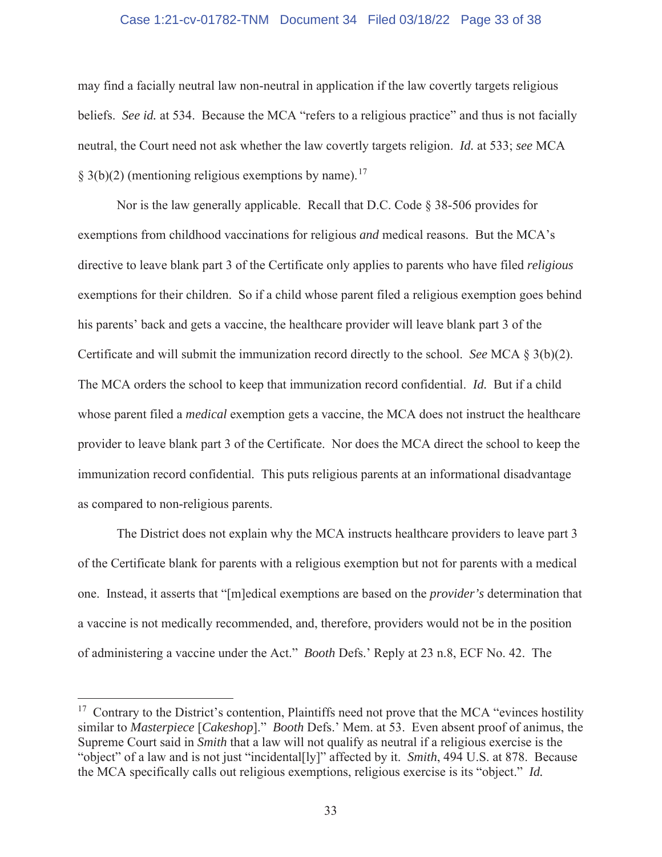# Case 1:21-cv-01782-TNM Document 34 Filed 03/18/22 Page 33 of 38

may find a facially neutral law non-neutral in application if the law covertly targets religious beliefs. *See id.* at 534. Because the MCA "refers to a religious practice" and thus is not facially neutral, the Court need not ask whether the law covertly targets religion. *Id.* at 533; *see* MCA  $§$  3(b)(2) (mentioning religious exemptions by name).<sup>17</sup>

Nor is the law generally applicable. Recall that D.C. Code § 38-506 provides for exemptions from childhood vaccinations for religious *and* medical reasons. But the MCA's directive to leave blank part 3 of the Certificate only applies to parents who have filed *religious*  exemptions for their children. So if a child whose parent filed a religious exemption goes behind his parents' back and gets a vaccine, the healthcare provider will leave blank part 3 of the Certificate and will submit the immunization record directly to the school. *See* MCA § 3(b)(2). The MCA orders the school to keep that immunization record confidential. *Id.* But if a child whose parent filed a *medical* exemption gets a vaccine, the MCA does not instruct the healthcare provider to leave blank part 3 of the Certificate. Nor does the MCA direct the school to keep the immunization record confidential. This puts religious parents at an informational disadvantage as compared to non-religious parents.

The District does not explain why the MCA instructs healthcare providers to leave part 3 of the Certificate blank for parents with a religious exemption but not for parents with a medical one. Instead, it asserts that "[m]edical exemptions are based on the *provider's* determination that a vaccine is not medically recommended, and, therefore, providers would not be in the position of administering a vaccine under the Act." *Booth* Defs.' Reply at 23 n.8, ECF No. 42. The

 $17$  Contrary to the District's contention, Plaintiffs need not prove that the MCA "evinces hostility similar to *Masterpiece* [*Cakeshop*]." *Booth* Defs.' Mem. at 53. Even absent proof of animus, the Supreme Court said in *Smith* that a law will not qualify as neutral if a religious exercise is the "object" of a law and is not just "incidental[ly]" affected by it. *Smith*, 494 U.S. at 878. Because the MCA specifically calls out religious exemptions, religious exercise is its "object." *Id.*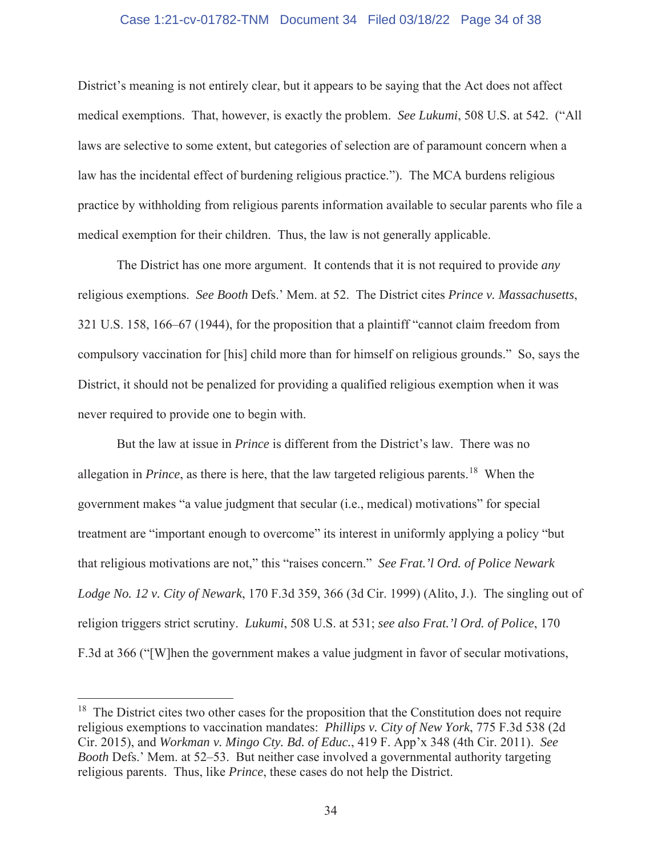# Case 1:21-cv-01782-TNM Document 34 Filed 03/18/22 Page 34 of 38

District's meaning is not entirely clear, but it appears to be saying that the Act does not affect medical exemptions. That, however, is exactly the problem. *See Lukumi*, 508 U.S. at 542. ("All laws are selective to some extent, but categories of selection are of paramount concern when a law has the incidental effect of burdening religious practice."). The MCA burdens religious practice by withholding from religious parents information available to secular parents who file a medical exemption for their children. Thus, the law is not generally applicable.

The District has one more argument. It contends that it is not required to provide *any* religious exemptions. *See Booth* Defs.' Mem. at 52. The District cites *Prince v. Massachusetts*, 321 U.S. 158, 166–67 (1944), for the proposition that a plaintiff "cannot claim freedom from compulsory vaccination for [his] child more than for himself on religious grounds." So, says the District, it should not be penalized for providing a qualified religious exemption when it was never required to provide one to begin with.

But the law at issue in *Prince* is different from the District's law. There was no allegation in *Prince*, as there is here, that the law targeted religious parents.<sup>18</sup> When the government makes "a value judgment that secular (i.e., medical) motivations" for special treatment are "important enough to overcome" its interest in uniformly applying a policy "but that religious motivations are not," this "raises concern." *See Frat.'l Ord. of Police Newark Lodge No. 12 v. City of Newark*, 170 F.3d 359, 366 (3d Cir. 1999) (Alito, J.). The singling out of religion triggers strict scrutiny. *Lukumi*, 508 U.S. at 531; *see also Frat.'l Ord. of Police*, 170 F.3d at 366 ("[W]hen the government makes a value judgment in favor of secular motivations,

 $18$  The District cites two other cases for the proposition that the Constitution does not require religious exemptions to vaccination mandates: *Phillips v. City of New York*, 775 F.3d 538 (2d Cir. 2015), and *Workman v. Mingo Cty. Bd. of Educ.*, 419 F. App'x 348 (4th Cir. 2011). *See Booth* Defs.' Mem. at 52–53. But neither case involved a governmental authority targeting religious parents. Thus, like *Prince*, these cases do not help the District.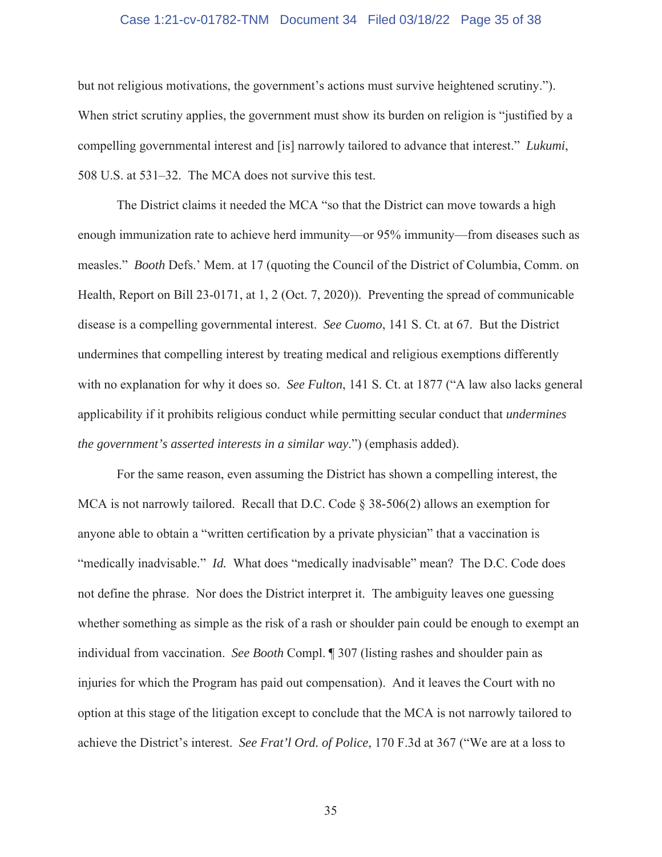# Case 1:21-cv-01782-TNM Document 34 Filed 03/18/22 Page 35 of 38

but not religious motivations, the government's actions must survive heightened scrutiny."). When strict scrutiny applies, the government must show its burden on religion is "justified by a compelling governmental interest and [is] narrowly tailored to advance that interest." *Lukumi*, 508 U.S. at 531–32. The MCA does not survive this test.

The District claims it needed the MCA "so that the District can move towards a high enough immunization rate to achieve herd immunity—or 95% immunity—from diseases such as measles." *Booth* Defs.' Mem. at 17 (quoting the Council of the District of Columbia, Comm. on Health, Report on Bill 23-0171, at 1, 2 (Oct. 7, 2020)). Preventing the spread of communicable disease is a compelling governmental interest. *See Cuomo*, 141 S. Ct. at 67. But the District undermines that compelling interest by treating medical and religious exemptions differently with no explanation for why it does so. *See Fulton*, 141 S. Ct. at 1877 ("A law also lacks general applicability if it prohibits religious conduct while permitting secular conduct that *undermines the government's asserted interests in a similar way*.") (emphasis added).

For the same reason, even assuming the District has shown a compelling interest, the MCA is not narrowly tailored. Recall that D.C. Code § 38-506(2) allows an exemption for anyone able to obtain a "written certification by a private physician" that a vaccination is "medically inadvisable." *Id.* What does "medically inadvisable" mean? The D.C. Code does not define the phrase. Nor does the District interpret it. The ambiguity leaves one guessing whether something as simple as the risk of a rash or shoulder pain could be enough to exempt an individual from vaccination. *See Booth* Compl. ¶ 307 (listing rashes and shoulder pain as injuries for which the Program has paid out compensation). And it leaves the Court with no option at this stage of the litigation except to conclude that the MCA is not narrowly tailored to achieve the District's interest. *See Frat'l Ord. of Police*, 170 F.3d at 367 ("We are at a loss to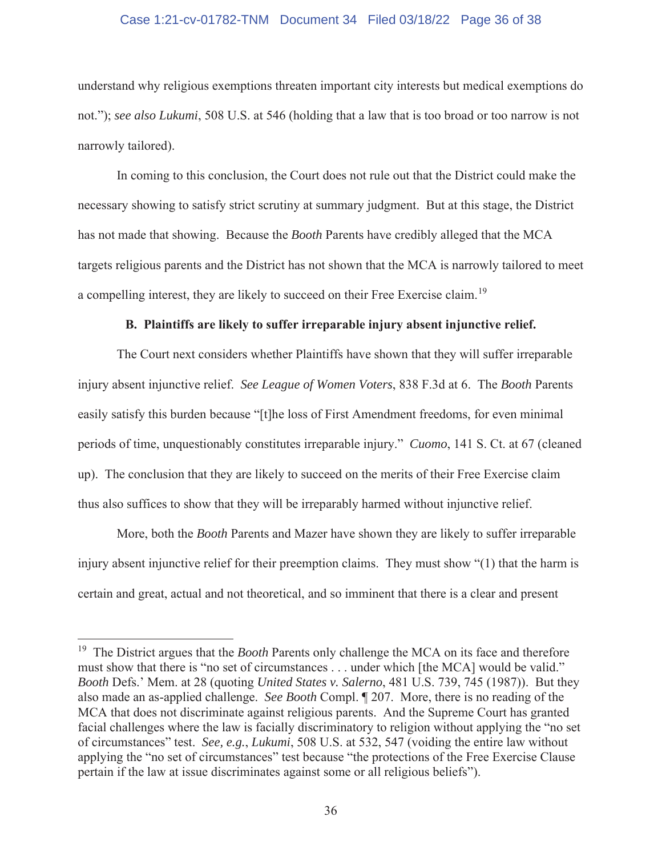# Case 1:21-cv-01782-TNM Document 34 Filed 03/18/22 Page 36 of 38

understand why religious exemptions threaten important city interests but medical exemptions do not."); *see also Lukumi*, 508 U.S. at 546 (holding that a law that is too broad or too narrow is not narrowly tailored).

 In coming to this conclusion, the Court does not rule out that the District could make the necessary showing to satisfy strict scrutiny at summary judgment. But at this stage, the District has not made that showing. Because the *Booth* Parents have credibly alleged that the MCA targets religious parents and the District has not shown that the MCA is narrowly tailored to meet a compelling interest, they are likely to succeed on their Free Exercise claim.19

# **B. Plaintiffs are likely to suffer irreparable injury absent injunctive relief.**

The Court next considers whether Plaintiffs have shown that they will suffer irreparable injury absent injunctive relief. *See League of Women Voters*, 838 F.3d at 6. The *Booth* Parents easily satisfy this burden because "[t]he loss of First Amendment freedoms, for even minimal periods of time, unquestionably constitutes irreparable injury." *Cuomo*, 141 S. Ct. at 67 (cleaned up). The conclusion that they are likely to succeed on the merits of their Free Exercise claim thus also suffices to show that they will be irreparably harmed without injunctive relief.

More, both the *Booth* Parents and Mazer have shown they are likely to suffer irreparable injury absent injunctive relief for their preemption claims. They must show "(1) that the harm is certain and great, actual and not theoretical, and so imminent that there is a clear and present

<sup>19</sup> The District argues that the *Booth* Parents only challenge the MCA on its face and therefore must show that there is "no set of circumstances . . . under which [the MCA] would be valid." *Booth* Defs.' Mem. at 28 (quoting *United States v. Salerno*, 481 U.S. 739, 745 (1987)). But they also made an as-applied challenge. *See Booth* Compl. ¶ 207. More, there is no reading of the MCA that does not discriminate against religious parents. And the Supreme Court has granted facial challenges where the law is facially discriminatory to religion without applying the "no set of circumstances" test. *See, e.g.*, *Lukumi*, 508 U.S. at 532, 547 (voiding the entire law without applying the "no set of circumstances" test because "the protections of the Free Exercise Clause pertain if the law at issue discriminates against some or all religious beliefs").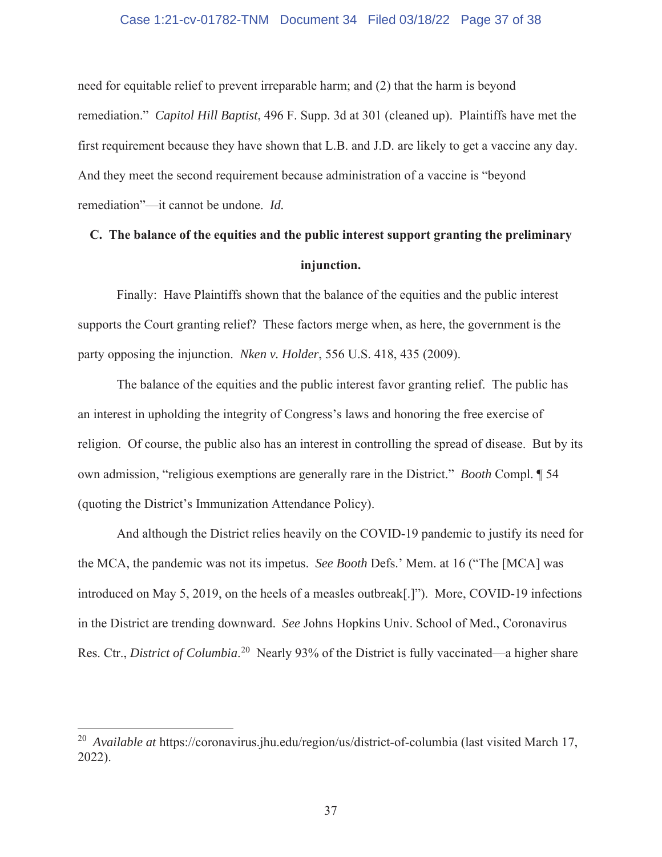## Case 1:21-cv-01782-TNM Document 34 Filed 03/18/22 Page 37 of 38

need for equitable relief to prevent irreparable harm; and (2) that the harm is beyond remediation." *Capitol Hill Baptist*, 496 F. Supp. 3d at 301 (cleaned up). Plaintiffs have met the first requirement because they have shown that L.B. and J.D. are likely to get a vaccine any day. And they meet the second requirement because administration of a vaccine is "beyond remediation"—it cannot be undone. *Id.* 

# **C. The balance of the equities and the public interest support granting the preliminary injunction.**

Finally: Have Plaintiffs shown that the balance of the equities and the public interest supports the Court granting relief? These factors merge when, as here, the government is the party opposing the injunction. *Nken v. Holder*, 556 U.S. 418, 435 (2009).

The balance of the equities and the public interest favor granting relief. The public has an interest in upholding the integrity of Congress's laws and honoring the free exercise of religion. Of course, the public also has an interest in controlling the spread of disease. But by its own admission, "religious exemptions are generally rare in the District." *Booth* Compl. ¶ 54 (quoting the District's Immunization Attendance Policy).

And although the District relies heavily on the COVID-19 pandemic to justify its need for the MCA, the pandemic was not its impetus. *See Booth* Defs.' Mem. at 16 ("The [MCA] was introduced on May 5, 2019, on the heels of a measles outbreak[.]"). More, COVID-19 infections in the District are trending downward. *See* Johns Hopkins Univ. School of Med., Coronavirus Res. Ctr., *District of Columbia*.<sup>20</sup> Nearly 93% of the District is fully vaccinated—a higher share

<sup>20</sup> *Available at* https://coronavirus.jhu.edu/region/us/district-of-columbia (last visited March 17, 2022).